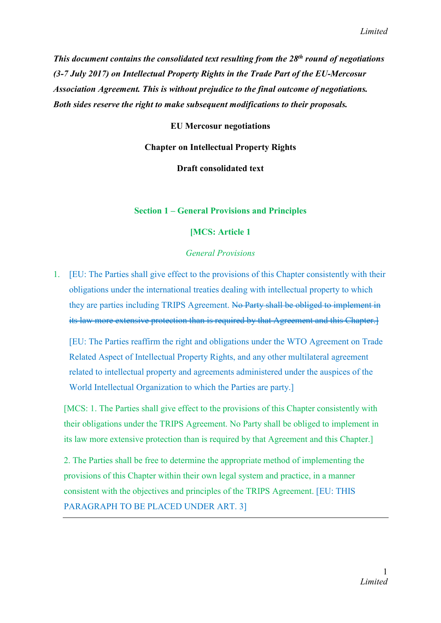*This document contains the consolidated text resulting from the 28th round of negotiations (3-7 July 2017) on Intellectual Property Rights in the Trade Part of the EU-Mercosur Association Agreement. This is without prejudice to the final outcome of negotiations. Both sides reserve the right to make subsequent modifications to their proposals.*

EU Mercosur negotiations

Chapter on Intellectual Property Rights

Draft consolidated text

#### Section 1 – General Provisions and Principles

#### [MCS: Article 1

#### *General Provisions*

1. [EU: The Parties shall give effect to the provisions of this Chapter consistently with their obligations under the international treaties dealing with intellectual property to which they are parties including TRIPS Agreement. No Party shall be obliged to implement in its law more extensive protection than is required by that Agreement and this Chapter.]

[EU: The Parties reaffirm the right and obligations under the WTO Agreement on Trade Related Aspect of Intellectual Property Rights, and any other multilateral agreement related to intellectual property and agreements administered under the auspices of the World Intellectual Organization to which the Parties are party.]

[MCS: 1. The Parties shall give effect to the provisions of this Chapter consistently with their obligations under the TRIPS Agreement. No Party shall be obliged to implement in its law more extensive protection than is required by that Agreement and this Chapter.]

2. The Parties shall be free to determine the appropriate method of implementing the provisions of this Chapter within their own legal system and practice, in a manner consistent with the objectives and principles of the TRIPS Agreement. [EU: THIS PARAGRAPH TO BE PLACED UNDER ART. 3]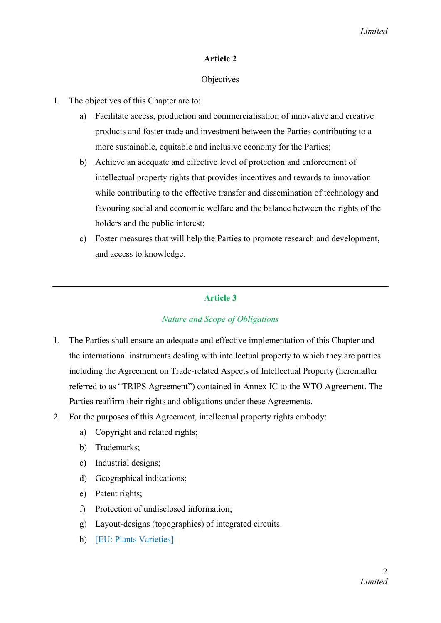# Article 2

## **Objectives**

- 1. The objectives of this Chapter are to:
	- a) Facilitate access, production and commercialisation of innovative and creative products and foster trade and investment between the Parties contributing to a more sustainable, equitable and inclusive economy for the Parties;
	- b) Achieve an adequate and effective level of protection and enforcement of intellectual property rights that provides incentives and rewards to innovation while contributing to the effective transfer and dissemination of technology and favouring social and economic welfare and the balance between the rights of the holders and the public interest;
	- c) Foster measures that will help the Parties to promote research and development, and access to knowledge.

# Article 3

# *Nature and Scope of Obligations*

- 1. The Parties shall ensure an adequate and effective implementation of this Chapter and the international instruments dealing with intellectual property to which they are parties including the Agreement on Trade-related Aspects of Intellectual Property (hereinafter referred to as "TRIPS Agreement") contained in Annex IC to the WTO Agreement. The Parties reaffirm their rights and obligations under these Agreements.
- 2. For the purposes of this Agreement, intellectual property rights embody:
	- a) Copyright and related rights;
	- b) Trademarks;
	- c) Industrial designs;
	- d) Geographical indications;
	- e) Patent rights;
	- f) Protection of undisclosed information;
	- g) Layout-designs (topographies) of integrated circuits.
	- h) [EU: Plants Varieties]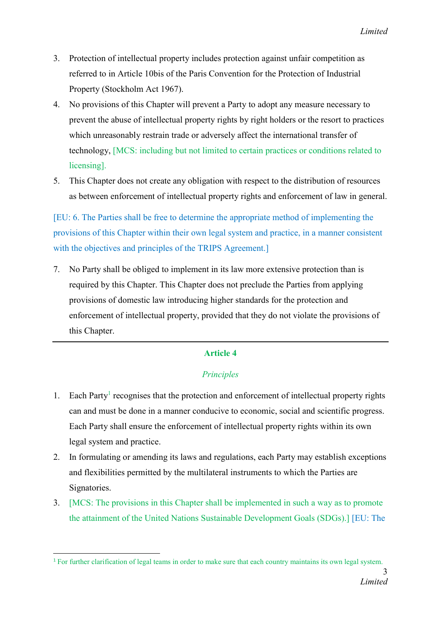- 3. Protection of intellectual property includes protection against unfair competition as referred to in Article 10bis of the Paris Convention for the Protection of Industrial Property (Stockholm Act 1967).
- 4. No provisions of this Chapter will prevent a Party to adopt any measure necessary to prevent the abuse of intellectual property rights by right holders or the resort to practices which unreasonably restrain trade or adversely affect the international transfer of technology, [MCS: including but not limited to certain practices or conditions related to licensing].
- 5. This Chapter does not create any obligation with respect to the distribution of resources as between enforcement of intellectual property rights and enforcement of law in general.

[EU: 6. The Parties shall be free to determine the appropriate method of implementing the provisions of this Chapter within their own legal system and practice, in a manner consistent with the objectives and principles of the TRIPS Agreement.

7. No Party shall be obliged to implement in its law more extensive protection than is required by this Chapter. This Chapter does not preclude the Parties from applying provisions of domestic law introducing higher standards for the protection and enforcement of intellectual property, provided that they do not violate the provisions of this Chapter.

## Article 4

## *Principles*

- 1. Each Party<sup>1</sup> recognises that the protection and enforcement of intellectual property rights can and must be done in a manner conducive to economic, social and scientific progress. Each Party shall ensure the enforcement of intellectual property rights within its own legal system and practice.
- 2. In formulating or amending its laws and regulations, each Party may establish exceptions and flexibilities permitted by the multilateral instruments to which the Parties are Signatories.
- 3. [MCS: The provisions in this Chapter shall be implemented in such a way as to promote the attainment of the United Nations Sustainable Development Goals (SDGs).] [EU: The

<sup>&</sup>lt;sup>1</sup> For further clarification of legal teams in order to make sure that each country maintains its own legal system.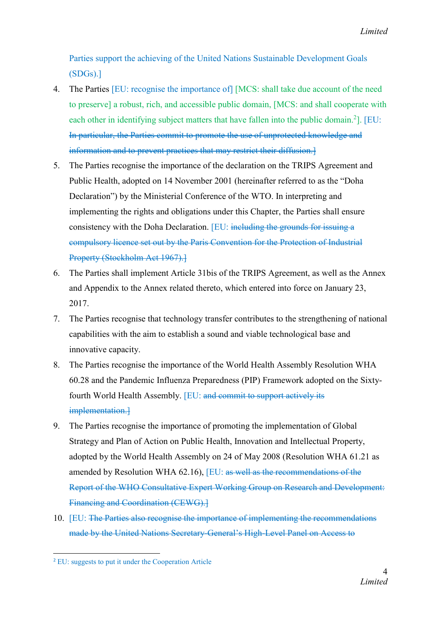Parties support the achieving of the United Nations Sustainable Development Goals (SDGs).]

- 4. The Parties [EU: recognise the importance of] [MCS: shall take due account of the need to preserve] a robust, rich, and accessible public domain, [MCS: and shall cooperate with each other in identifying subject matters that have fallen into the public domain.<sup>2</sup>]. [EU: In particular, the Parties commit to promote the use of unprotected knowledge and information and to prevent practices that may restrict their diffusion.]
- 5. The Parties recognise the importance of the declaration on the TRIPS Agreement and Public Health, adopted on 14 November 2001 (hereinafter referred to as the "Doha Declaration") by the Ministerial Conference of the WTO. In interpreting and implementing the rights and obligations under this Chapter, the Parties shall ensure consistency with the Doha Declaration. [EU: including the grounds for issuing a compulsory licence set out by the Paris Convention for the Protection of Industrial Property (Stockholm Act 1967).
- 6. The Parties shall implement Article 31bis of the TRIPS Agreement, as well as the Annex and Appendix to the Annex related thereto, which entered into force on January 23, 2017.
- 7. The Parties recognise that technology transfer contributes to the strengthening of national capabilities with the aim to establish a sound and viable technological base and innovative capacity.
- 8. The Parties recognise the importance of the World Health Assembly Resolution WHA 60.28 and the Pandemic Influenza Preparedness (PIP) Framework adopted on the Sixtyfourth World Health Assembly. [EU: and commit to support actively its implementation.]
- 9. The Parties recognise the importance of promoting the implementation of Global Strategy and Plan of Action on Public Health, Innovation and Intellectual Property, adopted by the World Health Assembly on 24 of May 2008 (Resolution WHA 61.21 as amended by Resolution WHA 62.16), [EU: as well as the recommendations of the Report of the WHO Consultative Expert Working Group on Research and Development: Financing and Coordination (CEWG).]
- 10. [EU: The Parties also recognise the importance of implementing the recommendations made by the United Nations Secretary-General's High-Level Panel on Access to

 <sup>2</sup> EU: suggests to put it under the Cooperation Article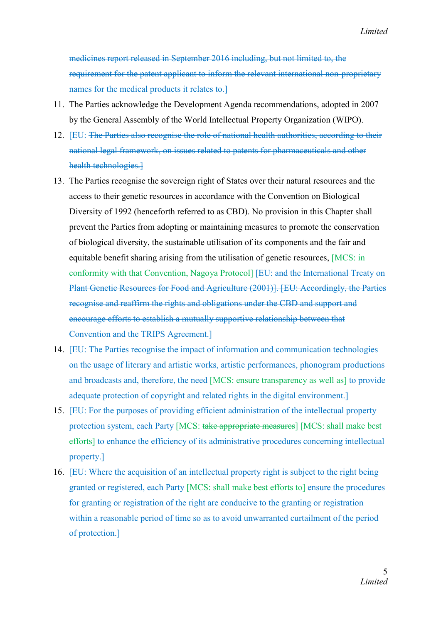*Limited*

medicines report released in September 2016 including, but not limited to, the requirement for the patent applicant to inform the relevant international non-proprietary names for the medical products it relates to.

- 11. The Parties acknowledge the Development Agenda recommendations, adopted in 2007 by the General Assembly of the World Intellectual Property Organization (WIPO).
- 12. [EU: The Parties also recognise the role of national health authorities, according to their national legal framework, on issues related to patents for pharmaceuticals and other health technologies.]
- 13. The Parties recognise the sovereign right of States over their natural resources and the access to their genetic resources in accordance with the Convention on Biological Diversity of 1992 (henceforth referred to as CBD). No provision in this Chapter shall prevent the Parties from adopting or maintaining measures to promote the conservation of biological diversity, the sustainable utilisation of its components and the fair and equitable benefit sharing arising from the utilisation of genetic resources, [MCS: in conformity with that Convention, Nagoya Protocol] [EU: and the International Treaty on Plant Genetic Resources for Food and Agriculture (2001)]. [EU: Accordingly, the Parties recognise and reaffirm the rights and obligations under the CBD and support and encourage efforts to establish a mutually supportive relationship between that Convention and the TRIPS Agreement.]
- 14. [EU: The Parties recognise the impact of information and communication technologies on the usage of literary and artistic works, artistic performances, phonogram productions and broadcasts and, therefore, the need [MCS: ensure transparency as well as] to provide adequate protection of copyright and related rights in the digital environment.]
- 15. [EU: For the purposes of providing efficient administration of the intellectual property protection system, each Party [MCS: take appropriate measures] [MCS: shall make best efforts] to enhance the efficiency of its administrative procedures concerning intellectual property.]
- 16. [EU: Where the acquisition of an intellectual property right is subject to the right being granted or registered, each Party [MCS: shall make best efforts to] ensure the procedures for granting or registration of the right are conducive to the granting or registration within a reasonable period of time so as to avoid unwarranted curtailment of the period of protection.]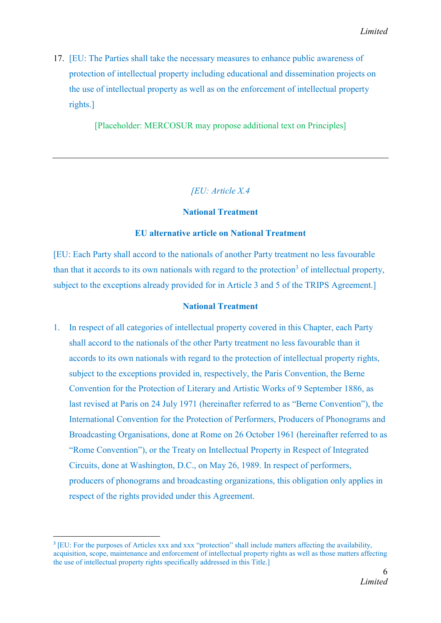17. [EU: The Parties shall take the necessary measures to enhance public awareness of protection of intellectual property including educational and dissemination projects on the use of intellectual property as well as on the enforcement of intellectual property rights.]

[Placeholder: MERCOSUR may propose additional text on Principles]

# *[EU: Article X.4*

## National Treatment

#### EU alternative article on National Treatment

[EU: Each Party shall accord to the nationals of another Party treatment no less favourable than that it accords to its own nationals with regard to the protection<sup>3</sup> of intellectual property, subject to the exceptions already provided for in Article 3 and 5 of the TRIPS Agreement.]

#### National Treatment

1. In respect of all categories of intellectual property covered in this Chapter, each Party shall accord to the nationals of the other Party treatment no less favourable than it accords to its own nationals with regard to the protection of intellectual property rights, subject to the exceptions provided in, respectively, the Paris Convention, the Berne Convention for the Protection of Literary and Artistic Works of 9 September 1886, as last revised at Paris on 24 July 1971 (hereinafter referred to as "Berne Convention"), the International Convention for the Protection of Performers, Producers of Phonograms and Broadcasting Organisations, done at Rome on 26 October 1961 (hereinafter referred to as "Rome Convention"), or the Treaty on Intellectual Property in Respect of Integrated Circuits, done at Washington, D.C., on May 26, 1989. In respect of performers, producers of phonograms and broadcasting organizations, this obligation only applies in respect of the rights provided under this Agreement.

<sup>&</sup>lt;sup>3</sup> [EU: For the purposes of Articles xxx and xxx "protection" shall include matters affecting the availability, acquisition, scope, maintenance and enforcement of intellectual property rights as well as those matters affecting the use of intellectual property rights specifically addressed in this Title.]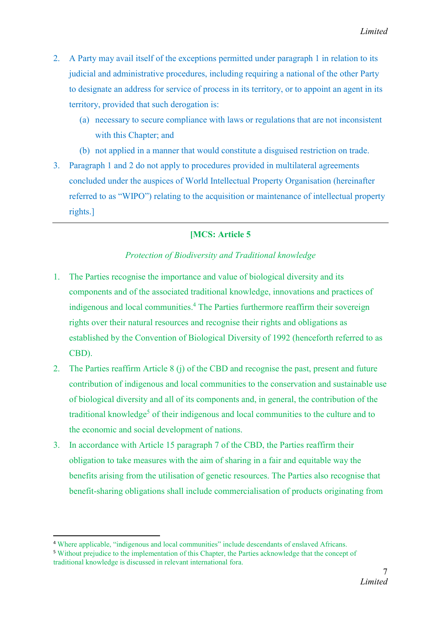- 2. A Party may avail itself of the exceptions permitted under paragraph 1 in relation to its judicial and administrative procedures, including requiring a national of the other Party to designate an address for service of process in its territory, or to appoint an agent in its territory, provided that such derogation is:
	- (a) necessary to secure compliance with laws or regulations that are not inconsistent with this Chapter; and
	- (b) not applied in a manner that would constitute a disguised restriction on trade.
- 3. Paragraph 1 and 2 do not apply to procedures provided in multilateral agreements concluded under the auspices of World Intellectual Property Organisation (hereinafter referred to as "WIPO") relating to the acquisition or maintenance of intellectual property rights.]

# [MCS: Article 5

# *Protection of Biodiversity and Traditional knowledge*

- 1. The Parties recognise the importance and value of biological diversity and its components and of the associated traditional knowledge, innovations and practices of indigenous and local communities. <sup>4</sup> The Parties furthermore reaffirm their sovereign rights over their natural resources and recognise their rights and obligations as established by the Convention of Biological Diversity of 1992 (henceforth referred to as CBD).
- 2. The Parties reaffirm Article 8 (j) of the CBD and recognise the past, present and future contribution of indigenous and local communities to the conservation and sustainable use of biological diversity and all of its components and, in general, the contribution of the traditional knowledge<sup>5</sup> of their indigenous and local communities to the culture and to the economic and social development of nations.
- 3. In accordance with Article 15 paragraph 7 of the CBD, the Parties reaffirm their obligation to take measures with the aim of sharing in a fair and equitable way the benefits arising from the utilisation of genetic resources. The Parties also recognise that benefit-sharing obligations shall include commercialisation of products originating from

 <sup>4</sup> Where applicable, "indigenous and local communities" include descendants of enslaved Africans.

<sup>5</sup> Without prejudice to the implementation of this Chapter, the Parties acknowledge that the concept of traditional knowledge is discussed in relevant international fora.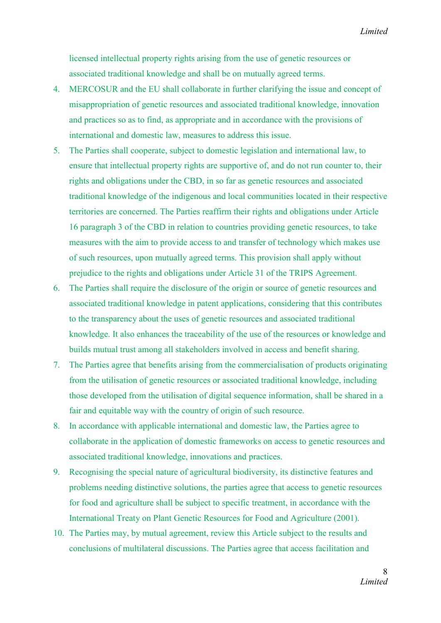licensed intellectual property rights arising from the use of genetic resources or associated traditional knowledge and shall be on mutually agreed terms.

- 4. MERCOSUR and the EU shall collaborate in further clarifying the issue and concept of misappropriation of genetic resources and associated traditional knowledge, innovation and practices so as to find, as appropriate and in accordance with the provisions of international and domestic law, measures to address this issue.
- 5. The Parties shall cooperate, subject to domestic legislation and international law, to ensure that intellectual property rights are supportive of, and do not run counter to, their rights and obligations under the CBD, in so far as genetic resources and associated traditional knowledge of the indigenous and local communities located in their respective territories are concerned. The Parties reaffirm their rights and obligations under Article 16 paragraph 3 of the CBD in relation to countries providing genetic resources, to take measures with the aim to provide access to and transfer of technology which makes use of such resources, upon mutually agreed terms. This provision shall apply without prejudice to the rights and obligations under Article 31 of the TRIPS Agreement.
- 6. The Parties shall require the disclosure of the origin or source of genetic resources and associated traditional knowledge in patent applications, considering that this contributes to the transparency about the uses of genetic resources and associated traditional knowledge. It also enhances the traceability of the use of the resources or knowledge and builds mutual trust among all stakeholders involved in access and benefit sharing.
- 7. The Parties agree that benefits arising from the commercialisation of products originating from the utilisation of genetic resources or associated traditional knowledge, including those developed from the utilisation of digital sequence information, shall be shared in a fair and equitable way with the country of origin of such resource.
- 8. In accordance with applicable international and domestic law, the Parties agree to collaborate in the application of domestic frameworks on access to genetic resources and associated traditional knowledge, innovations and practices.
- 9. Recognising the special nature of agricultural biodiversity, its distinctive features and problems needing distinctive solutions, the parties agree that access to genetic resources for food and agriculture shall be subject to specific treatment, in accordance with the International Treaty on Plant Genetic Resources for Food and Agriculture (2001).
- 10. The Parties may, by mutual agreement, review this Article subject to the results and conclusions of multilateral discussions. The Parties agree that access facilitation and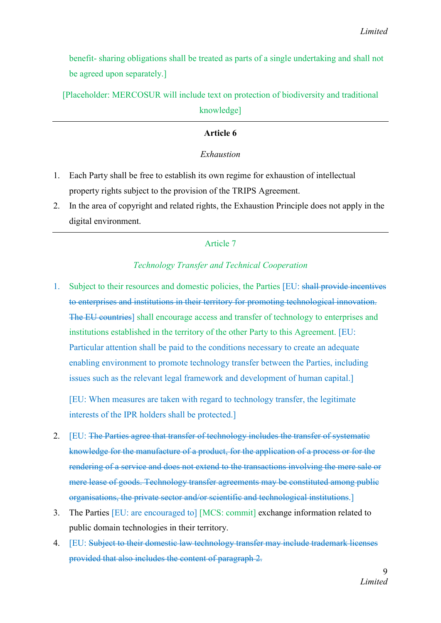benefit- sharing obligations shall be treated as parts of a single undertaking and shall not be agreed upon separately.]

[Placeholder: MERCOSUR will include text on protection of biodiversity and traditional

knowledge]

## Article 6

## *Exhaustion*

- 1. Each Party shall be free to establish its own regime for exhaustion of intellectual property rights subject to the provision of the TRIPS Agreement.
- 2. In the area of copyright and related rights, the Exhaustion Principle does not apply in the digital environment.

# Article 7

## *Technology Transfer and Technical Cooperation*

1. Subject to their resources and domestic policies, the Parties [EU: shall provide incentives to enterprises and institutions in their territory for promoting technological innovation. The EU countries] shall encourage access and transfer of technology to enterprises and institutions established in the territory of the other Party to this Agreement. [EU: Particular attention shall be paid to the conditions necessary to create an adequate enabling environment to promote technology transfer between the Parties, including issues such as the relevant legal framework and development of human capital.]

[EU: When measures are taken with regard to technology transfer, the legitimate interests of the IPR holders shall be protected.]

- 2. [EU: The Parties agree that transfer of technology includes the transfer of systematic knowledge for the manufacture of a product, for the application of a process or for the rendering of a service and does not extend to the transactions involving the mere sale or mere lease of goods. Technology transfer agreements may be constituted among public organisations, the private sector and/or scientific and technological institutions.]
- 3. The Parties [EU: are encouraged to] [MCS: commit] exchange information related to public domain technologies in their territory.
- 4. [EU: Subject to their domestic law technology transfer may include trademark licenses provided that also includes the content of paragraph 2.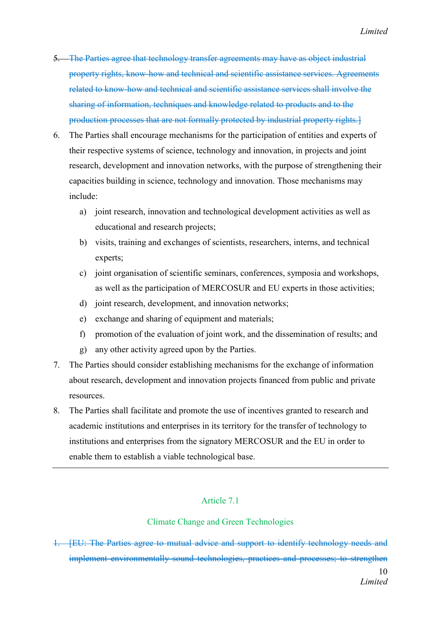- 5. The Parties agree that technology transfer agreements may have as object industrial property rights, know-how and technical and scientific assistance services. Agreements related to know-how and technical and scientific assistance services shall involve the sharing of information, techniques and knowledge related to products and to the production processes that are not formally protected by industrial property rights.]
- 6. The Parties shall encourage mechanisms for the participation of entities and experts of their respective systems of science, technology and innovation, in projects and joint research, development and innovation networks, with the purpose of strengthening their capacities building in science, technology and innovation. Those mechanisms may include:
	- a) joint research, innovation and technological development activities as well as educational and research projects;
	- b) visits, training and exchanges of scientists, researchers, interns, and technical experts;
	- c) joint organisation of scientific seminars, conferences, symposia and workshops, as well as the participation of MERCOSUR and EU experts in those activities;
	- d) joint research, development, and innovation networks;
	- e) exchange and sharing of equipment and materials;
	- f) promotion of the evaluation of joint work, and the dissemination of results; and
	- g) any other activity agreed upon by the Parties.
- 7. The Parties should consider establishing mechanisms for the exchange of information about research, development and innovation projects financed from public and private resources.
- 8. The Parties shall facilitate and promote the use of incentives granted to research and academic institutions and enterprises in its territory for the transfer of technology to institutions and enterprises from the signatory MERCOSUR and the EU in order to enable them to establish a viable technological base.

## Article 7.1

## Climate Change and Green Technologies

1. [EU: The Parties agree to mutual advice and support to identify technology needs and implement environmentally sound technologies, practices and processes; to strengthen

> 10 *Limited*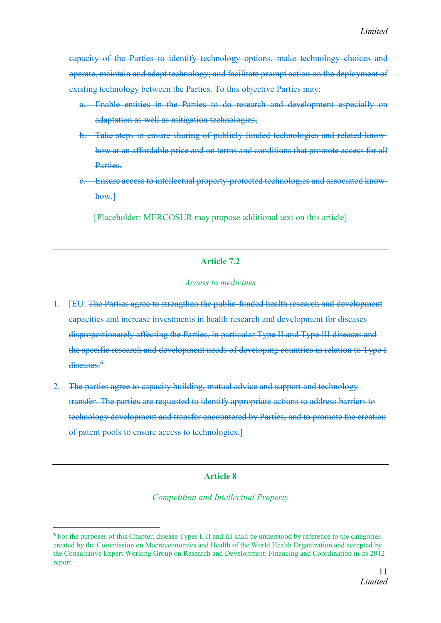capacity of the Parties to identify technology options, make technology choices and operate, maintain and adapt technology; and facilitate prompt action on the deployment of existing technology between the Parties. To this objective Parties may:

- a. Enable entities in the Parties to do research and development especially on adaptation as well as mitigation technologies;
- b. Take steps to ensure sharing of publicly funded technologies and related knowhow at an affordable price and on terms and conditions that promote access for all Parties.
- c. Ensure access to intellectual property-protected technologies and associated knowhow.]

[Placeholder: MERCOSUR may propose additional text on this article]

## Article 7.2

#### *Access to medicines*

- 1. [EU: The Parties agree to strengthen the public-funded health research and development capacities and increase investments in health research and development for diseases disproportionately affecting the Parties, in particular Type II and Type III diseases and the specific research and development needs of developing countries in relation to Type I diseases.<sup>6</sup>
- 2. The parties agree to capacity building, mutual advice and support and technology transfer. The parties are requested to identify appropriate actions to address barriers to technology development and transfer encountered by Parties, and to promote the creation of patent pools to ensure access to technologies.]

## Article 8

*Competition and Intellectual Property*

 <sup>6</sup> For the purposes of this Chapter, disease Types I, II and III shall be understood by reference to the categories created by the Commission on Macroeconomics and Health of the World Health Organization and accepted by the Consultative Expert Working Group on Research and Development: Financing and Coordination in its 2012 report.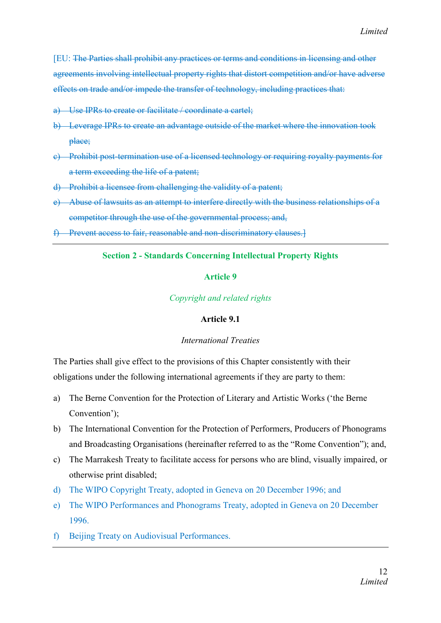[EU: The Parties shall prohibit any practices or terms and conditions in licensing and other agreements involving intellectual property rights that distort competition and/or have adverse effects on trade and/or impede the transfer of technology, including practices that:

- a) Use IPRs to create or facilitate / coordinate a cartel;
- b) Leverage IPRs to create an advantage outside of the market where the innovation took place;
- c) Prohibit post-termination use of a licensed technology or requiring royalty payments for a term exceeding the life of a patent;
- d) Prohibit a licensee from challenging the validity of a patent;
- e) Abuse of lawsuits as an attempt to interfere directly with the business relationships of a competitor through the use of the governmental process; and,
- f) Prevent access to fair, reasonable and non-discriminatory clauses.]

#### Section 2 - Standards Concerning Intellectual Property Rights

#### Article 9

#### *Copyright and related rights*

#### Article 9.1

#### *International Treaties*

The Parties shall give effect to the provisions of this Chapter consistently with their obligations under the following international agreements if they are party to them:

- a) The Berne Convention for the Protection of Literary and Artistic Works ('the Berne Convention');
- b) The International Convention for the Protection of Performers, Producers of Phonograms and Broadcasting Organisations (hereinafter referred to as the "Rome Convention"); and,
- c) The Marrakesh Treaty to facilitate access for persons who are blind, visually impaired, or otherwise print disabled;
- d) The WIPO Copyright Treaty, adopted in Geneva on 20 December 1996; and
- e) The WIPO Performances and Phonograms Treaty, adopted in Geneva on 20 December 1996.
- f) Beijing Treaty on Audiovisual Performances.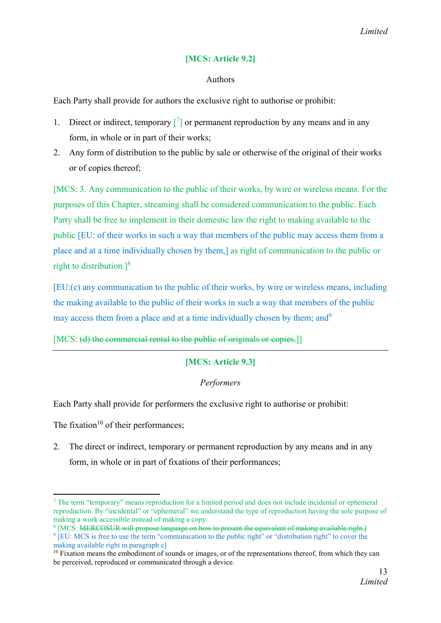# [MCS: Article 9.2]

## Authors

Each Party shall provide for authors the exclusive right to authorise or prohibit:

- 1. Direct or indirect, temporary  $\begin{bmatrix} 7 \end{bmatrix}$  or permanent reproduction by any means and in any form, in whole or in part of their works;
- 2. Any form of distribution to the public by sale or otherwise of the original of their works or of copies thereof;

[MCS: 3. Any communication to the public of their works, by wire or wireless means. For the purposes of this Chapter, streaming shall be considered communication to the public. Each Party shall be free to implement in their domestic law the right to making available to the public [EU: of their works in such a way that members of the public may access them from a place and at a time individually chosen by them,] as right of communication to the public or right to distribution.] $8$ 

[EU:(c) any communication to the public of their works, by wire or wireless means, including the making available to the public of their works in such a way that members of the public may access them from a place and at a time individually chosen by them; and<sup>9</sup>

[MCS: (d) the commercial rental to the public of originals or copies.]

# [MCS: Article 9.3]

## *Performers*

Each Party shall provide for performers the exclusive right to authorise or prohibit:

The fixation<sup>10</sup> of their performances:

**.** 

2. The direct or indirect, temporary or permanent reproduction by any means and in any form, in whole or in part of fixations of their performances;

<sup>7</sup> The term "temporary" means reproduction for a limited period and does not include incidental or ephemeral reproduction. By "incidental" or "ephemeral" we understand the type of reproduction having the sole purpose of making a work accessible instead of making a copy.

<sup>&</sup>lt;sup>8</sup> [MCS: MERCOSUR will propose language on how to present the equivalent of making available right.

<sup>&</sup>lt;sup>9</sup> [EU: MCS is free to use the term "communication to the public right" or "distribution right" to cover the making available right in paragraph c]

<sup>&</sup>lt;sup>10</sup> Fixation means the embodiment of sounds or images, or of the representations thereof, from which they can be perceived, reproduced or communicated through a device.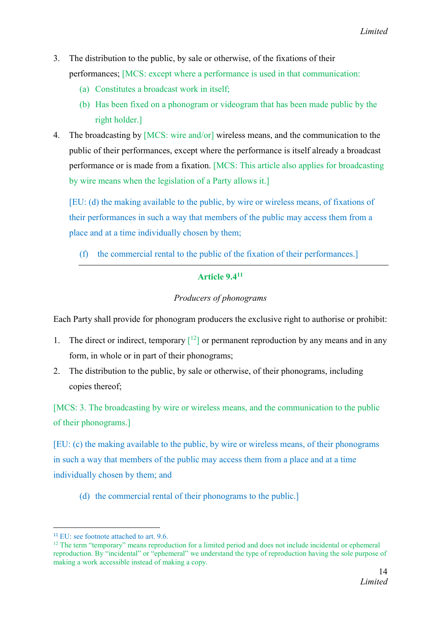- 3. The distribution to the public, by sale or otherwise, of the fixations of their performances; [MCS: except where a performance is used in that communication:
	- (a) Constitutes a broadcast work in itself;
	- (b) Has been fixed on a phonogram or videogram that has been made public by the right holder.]
- 4. The broadcasting by [MCS: wire and/or] wireless means, and the communication to the public of their performances, except where the performance is itself already a broadcast performance or is made from a fixation. [MCS: This article also applies for broadcasting by wire means when the legislation of a Party allows it.]

[EU: (d) the making available to the public, by wire or wireless means, of fixations of their performances in such a way that members of the public may access them from a place and at a time individually chosen by them;

(f) the commercial rental to the public of the fixation of their performances.]

# Article 9.411

# *Producers of phonograms*

Each Party shall provide for phonogram producers the exclusive right to authorise or prohibit:

- 1. The direct or indirect, temporary  $\lfloor 12 \rfloor$  or permanent reproduction by any means and in any form, in whole or in part of their phonograms;
- 2. The distribution to the public, by sale or otherwise, of their phonograms, including copies thereof;

[MCS: 3. The broadcasting by wire or wireless means, and the communication to the public of their phonograms.]

[EU: (c) the making available to the public, by wire or wireless means, of their phonograms in such a way that members of the public may access them from a place and at a time individually chosen by them; and

(d) the commercial rental of their phonograms to the public.]

<sup>&</sup>lt;sup>11</sup> EU: see footnote attached to art.  $9.6$ .

<sup>&</sup>lt;sup>12</sup> The term "temporary" means reproduction for a limited period and does not include incidental or ephemeral reproduction. By "incidental" or "ephemeral" we understand the type of reproduction having the sole purpose of making a work accessible instead of making a copy.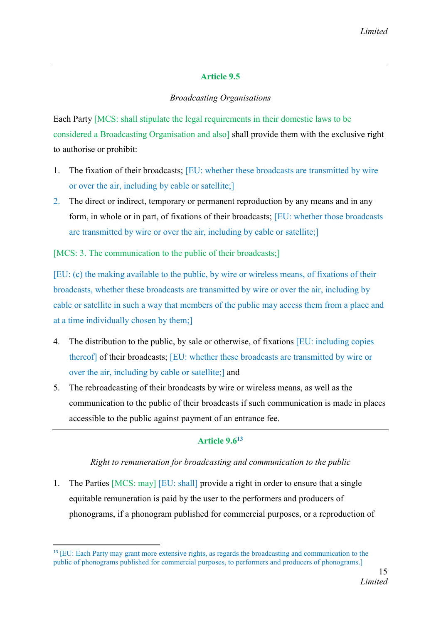# Article 9.5

# *Broadcasting Organisations*

Each Party [MCS: shall stipulate the legal requirements in their domestic laws to be considered a Broadcasting Organisation and also] shall provide them with the exclusive right to authorise or prohibit:

- 1. The fixation of their broadcasts; [EU: whether these broadcasts are transmitted by wire or over the air, including by cable or satellite;]
- 2. The direct or indirect, temporary or permanent reproduction by any means and in any form, in whole or in part, of fixations of their broadcasts; [EU: whether those broadcasts are transmitted by wire or over the air, including by cable or satellite;]

[MCS: 3. The communication to the public of their broadcasts;]

[EU: (c) the making available to the public, by wire or wireless means, of fixations of their broadcasts, whether these broadcasts are transmitted by wire or over the air, including by cable or satellite in such a way that members of the public may access them from a place and at a time individually chosen by them;]

- 4. The distribution to the public, by sale or otherwise, of fixations [EU: including copies thereof] of their broadcasts; [EU: whether these broadcasts are transmitted by wire or over the air, including by cable or satellite;] and
- 5. The rebroadcasting of their broadcasts by wire or wireless means, as well as the communication to the public of their broadcasts if such communication is made in places accessible to the public against payment of an entrance fee.

# Article 9.613

## *Right to remuneration for broadcasting and communication to the public*

1. The Parties [MCS: may] [EU: shall] provide a right in order to ensure that a single equitable remuneration is paid by the user to the performers and producers of phonograms, if a phonogram published for commercial purposes, or a reproduction of

 <sup>13</sup> [EU: Each Party may grant more extensive rights, as regards the broadcasting and communication to the public of phonograms published for commercial purposes, to performers and producers of phonograms.]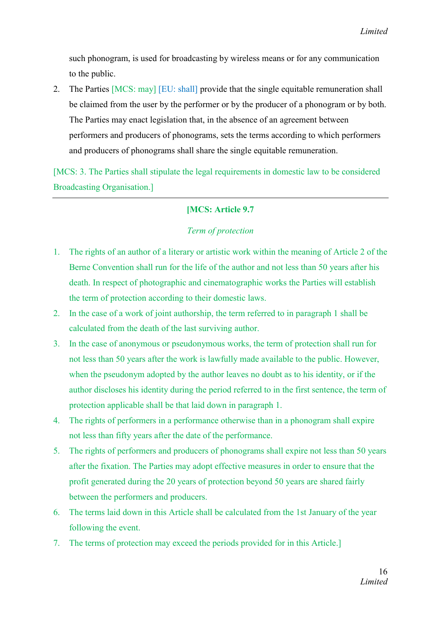such phonogram, is used for broadcasting by wireless means or for any communication to the public.

2. The Parties [MCS: may] [EU: shall] provide that the single equitable remuneration shall be claimed from the user by the performer or by the producer of a phonogram or by both. The Parties may enact legislation that, in the absence of an agreement between performers and producers of phonograms, sets the terms according to which performers and producers of phonograms shall share the single equitable remuneration.

[MCS: 3. The Parties shall stipulate the legal requirements in domestic law to be considered Broadcasting Organisation.]

# [MCS: Article 9.7

## *Term of protection*

- 1. The rights of an author of a literary or artistic work within the meaning of Article 2 of the Berne Convention shall run for the life of the author and not less than 50 years after his death. In respect of photographic and cinematographic works the Parties will establish the term of protection according to their domestic laws.
- 2. In the case of a work of joint authorship, the term referred to in paragraph 1 shall be calculated from the death of the last surviving author.
- 3. In the case of anonymous or pseudonymous works, the term of protection shall run for not less than 50 years after the work is lawfully made available to the public. However, when the pseudonym adopted by the author leaves no doubt as to his identity, or if the author discloses his identity during the period referred to in the first sentence, the term of protection applicable shall be that laid down in paragraph 1.
- 4. The rights of performers in a performance otherwise than in a phonogram shall expire not less than fifty years after the date of the performance.
- 5. The rights of performers and producers of phonograms shall expire not less than 50 years after the fixation. The Parties may adopt effective measures in order to ensure that the profit generated during the 20 years of protection beyond 50 years are shared fairly between the performers and producers.
- 6. The terms laid down in this Article shall be calculated from the 1st January of the year following the event.
- 7. The terms of protection may exceed the periods provided for in this Article.]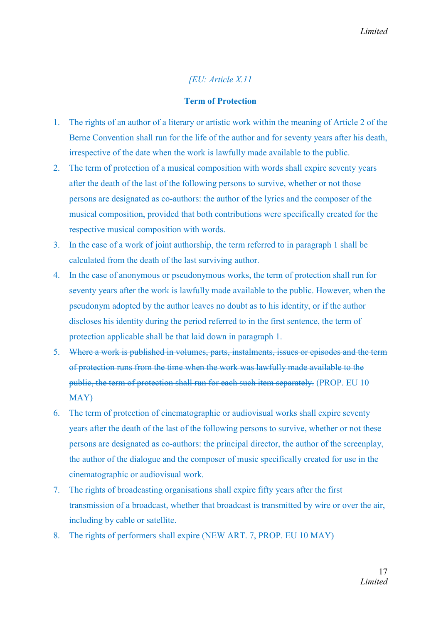# *[EU: Article X.11*

#### Term of Protection

- 1. The rights of an author of a literary or artistic work within the meaning of Article 2 of the Berne Convention shall run for the life of the author and for seventy years after his death, irrespective of the date when the work is lawfully made available to the public.
- 2. The term of protection of a musical composition with words shall expire seventy years after the death of the last of the following persons to survive, whether or not those persons are designated as co-authors: the author of the lyrics and the composer of the musical composition, provided that both contributions were specifically created for the respective musical composition with words.
- 3. In the case of a work of joint authorship, the term referred to in paragraph 1 shall be calculated from the death of the last surviving author.
- 4. In the case of anonymous or pseudonymous works, the term of protection shall run for seventy years after the work is lawfully made available to the public. However, when the pseudonym adopted by the author leaves no doubt as to his identity, or if the author discloses his identity during the period referred to in the first sentence, the term of protection applicable shall be that laid down in paragraph 1.
- 5. Where a work is published in volumes, parts, instalments, issues or episodes and the term of protection runs from the time when the work was lawfully made available to the public, the term of protection shall run for each such item separately. (PROP. EU 10 MAY)
- 6. The term of protection of cinematographic or audiovisual works shall expire seventy years after the death of the last of the following persons to survive, whether or not these persons are designated as co-authors: the principal director, the author of the screenplay, the author of the dialogue and the composer of music specifically created for use in the cinematographic or audiovisual work.
- 7. The rights of broadcasting organisations shall expire fifty years after the first transmission of a broadcast, whether that broadcast is transmitted by wire or over the air, including by cable or satellite.
- 8. The rights of performers shall expire (NEW ART. 7, PROP. EU 10 MAY)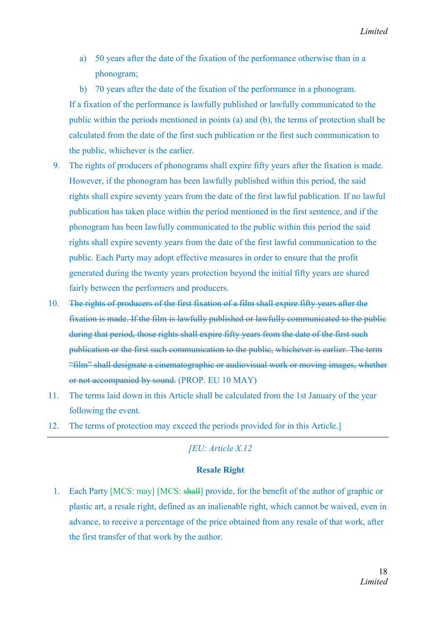a) 50 years after the date of the fixation of the performance otherwise than in a phonogram;

b) 70 years after the date of the fixation of the performance in a phonogram. If a fixation of the performance is lawfully published or lawfully communicated to the public within the periods mentioned in points (a) and (b), the terms of protection shall be calculated from the date of the first such publication or the first such communication to the public, whichever is the earlier.

- 9. The rights of producers of phonograms shall expire fifty years after the fixation is made. However, if the phonogram has been lawfully published within this period, the said rights shall expire seventy years from the date of the first lawful publication. If no lawful publication has taken place within the period mentioned in the first sentence, and if the phonogram has been lawfully communicated to the public within this period the said rights shall expire seventy years from the date of the first lawful communication to the public. Each Party may adopt effective measures in order to ensure that the profit generated during the twenty years protection beyond the initial fifty years are shared fairly between the performers and producers.
- 10. The rights of producers of the first fixation of a film shall expire fifty years after the fixation is made. If the film is lawfully published or lawfully communicated to the public during that period, those rights shall expire fifty years from the date of the first such publication or the first such communication to the public, whichever is earlier. The term "film" shall designate a cinematographic or audiovisual work or moving images, whether or not accompanied by sound. (PROP. EU 10 MAY)
- 11. The terms laid down in this Article shall be calculated from the 1st January of the year following the event.
- 12. The terms of protection may exceed the periods provided for in this Article.]

# *[EU: Article X.12*

#### Resale Right

1. Each Party [MCS: may] [MCS: shall] provide, for the benefit of the author of graphic or plastic art, a resale right, defined as an inalienable right, which cannot be waived, even in advance, to receive a percentage of the price obtained from any resale of that work, after the first transfer of that work by the author.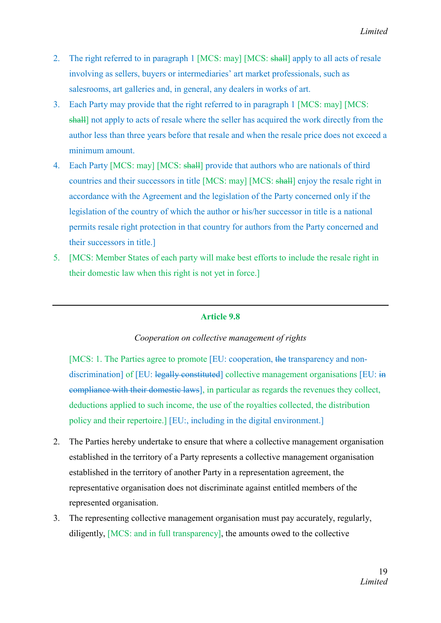- 2. The right referred to in paragraph 1 [MCS: may] [MCS: shall] apply to all acts of resale involving as sellers, buyers or intermediaries' art market professionals, such as salesrooms, art galleries and, in general, any dealers in works of art.
- 3. Each Party may provide that the right referred to in paragraph 1 [MCS: may] [MCS: shall] not apply to acts of resale where the seller has acquired the work directly from the author less than three years before that resale and when the resale price does not exceed a minimum amount.
- 4. Each Party [MCS: may] [MCS: shall] provide that authors who are nationals of third countries and their successors in title [MCS: may] [MCS: shall] enjoy the resale right in accordance with the Agreement and the legislation of the Party concerned only if the legislation of the country of which the author or his/her successor in title is a national permits resale right protection in that country for authors from the Party concerned and their successors in title.]
- 5. [MCS: Member States of each party will make best efforts to include the resale right in their domestic law when this right is not yet in force.]

## Article 9.8

#### *Cooperation on collective management of rights*

[MCS: 1. The Parties agree to promote [EU: cooperation, the transparency and nondiscrimination] of [EU: legally constituted] collective management organisations [EU: in compliance with their domestic laws], in particular as regards the revenues they collect, deductions applied to such income, the use of the royalties collected, the distribution policy and their repertoire.] [EU:, including in the digital environment.]

- 2. The Parties hereby undertake to ensure that where a collective management organisation established in the territory of a Party represents a collective management organisation established in the territory of another Party in a representation agreement, the representative organisation does not discriminate against entitled members of the represented organisation.
- 3. The representing collective management organisation must pay accurately, regularly, diligently, [MCS: and in full transparency], the amounts owed to the collective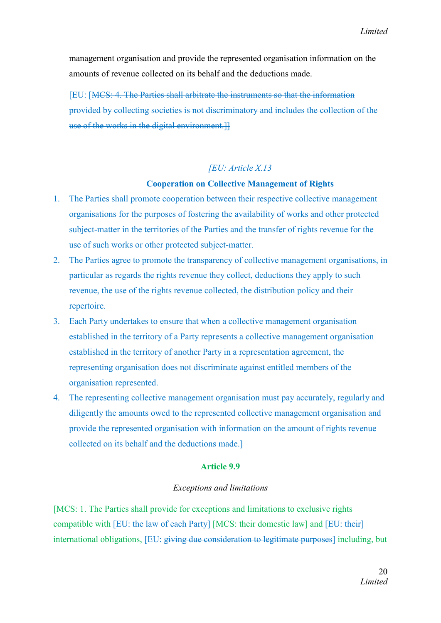management organisation and provide the represented organisation information on the amounts of revenue collected on its behalf and the deductions made.

[EU: [MCS: 4. The Parties shall arbitrate the instruments so that the information provided by collecting societies is not discriminatory and includes the collection of the use of the works in the digital environment.]]

#### *[EU: Article X.13*

#### Cooperation on Collective Management of Rights

- 1. The Parties shall promote cooperation between their respective collective management organisations for the purposes of fostering the availability of works and other protected subject-matter in the territories of the Parties and the transfer of rights revenue for the use of such works or other protected subject-matter.
- 2. The Parties agree to promote the transparency of collective management organisations, in particular as regards the rights revenue they collect, deductions they apply to such revenue, the use of the rights revenue collected, the distribution policy and their repertoire.
- 3. Each Party undertakes to ensure that when a collective management organisation established in the territory of a Party represents a collective management organisation established in the territory of another Party in a representation agreement, the representing organisation does not discriminate against entitled members of the organisation represented.
- 4. The representing collective management organisation must pay accurately, regularly and diligently the amounts owed to the represented collective management organisation and provide the represented organisation with information on the amount of rights revenue collected on its behalf and the deductions made.]

## Article 9.9

#### *Exceptions and limitations*

[MCS: 1. The Parties shall provide for exceptions and limitations to exclusive rights compatible with [EU: the law of each Party] [MCS: their domestic law] and [EU: their] international obligations, [EU: giving due consideration to legitimate purposes] including, but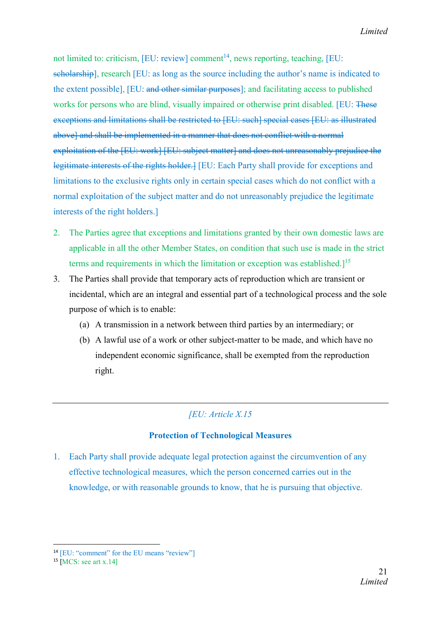not limited to: criticism, [EU: review] comment<sup>14</sup>, news reporting, teaching, [EU: scholarship], research [EU: as long as the source including the author's name is indicated to the extent possible], [EU: and other similar purposes]; and facilitating access to published works for persons who are blind, visually impaired or otherwise print disabled. [EU: These exceptions and limitations shall be restricted to [EU: such] special cases [EU: as illustrated above] and shall be implemented in a manner that does not conflict with a normal exploitation of the [EU: work] [EU: subject matter] and does not unreasonably prejudice the legitimate interests of the rights holder.] [EU: Each Party shall provide for exceptions and limitations to the exclusive rights only in certain special cases which do not conflict with a normal exploitation of the subject matter and do not unreasonably prejudice the legitimate interests of the right holders.]

- 2. The Parties agree that exceptions and limitations granted by their own domestic laws are applicable in all the other Member States, on condition that such use is made in the strict terms and requirements in which the limitation or exception was established.<sup>[15]</sup>
- 3. The Parties shall provide that temporary acts of reproduction which are transient or incidental, which are an integral and essential part of a technological process and the sole purpose of which is to enable:
	- (a) A transmission in a network between third parties by an intermediary; or
	- (b) A lawful use of a work or other subject-matter to be made, and which have no independent economic significance, shall be exempted from the reproduction right.

# *[EU: Article X.15*

# Protection of Technological Measures

1. Each Party shall provide adequate legal protection against the circumvention of any effective technological measures, which the person concerned carries out in the knowledge, or with reasonable grounds to know, that he is pursuing that objective.

<sup>&</sup>lt;sup>14</sup> [EU: "comment" for the EU means "review"]

 $15$  [MCS: see art x.14]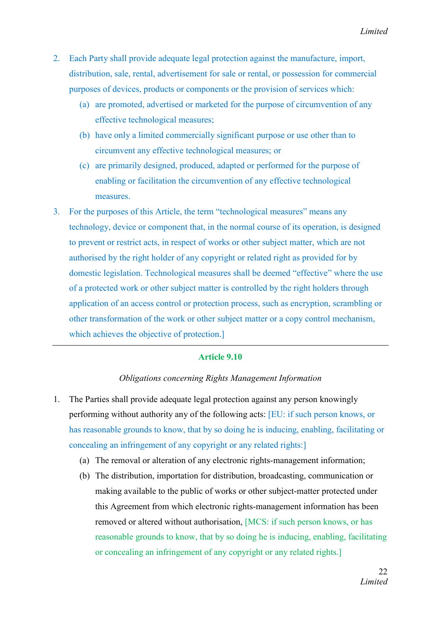- 2. Each Party shall provide adequate legal protection against the manufacture, import, distribution, sale, rental, advertisement for sale or rental, or possession for commercial purposes of devices, products or components or the provision of services which:
	- (a) are promoted, advertised or marketed for the purpose of circumvention of any effective technological measures;
	- (b) have only a limited commercially significant purpose or use other than to circumvent any effective technological measures; or
	- (c) are primarily designed, produced, adapted or performed for the purpose of enabling or facilitation the circumvention of any effective technological measures.
- 3. For the purposes of this Article, the term "technological measures" means any technology, device or component that, in the normal course of its operation, is designed to prevent or restrict acts, in respect of works or other subject matter, which are not authorised by the right holder of any copyright or related right as provided for by domestic legislation. Technological measures shall be deemed "effective" where the use of a protected work or other subject matter is controlled by the right holders through application of an access control or protection process, such as encryption, scrambling or other transformation of the work or other subject matter or a copy control mechanism, which achieves the objective of protection.

#### Article 9.10

#### *Obligations concerning Rights Management Information*

- 1. The Parties shall provide adequate legal protection against any person knowingly performing without authority any of the following acts: [EU: if such person knows, or has reasonable grounds to know, that by so doing he is inducing, enabling, facilitating or concealing an infringement of any copyright or any related rights:]
	- (a) The removal or alteration of any electronic rights-management information;
	- (b) The distribution, importation for distribution, broadcasting, communication or making available to the public of works or other subject-matter protected under this Agreement from which electronic rights-management information has been removed or altered without authorisation, [MCS: if such person knows, or has reasonable grounds to know, that by so doing he is inducing, enabling, facilitating or concealing an infringement of any copyright or any related rights.]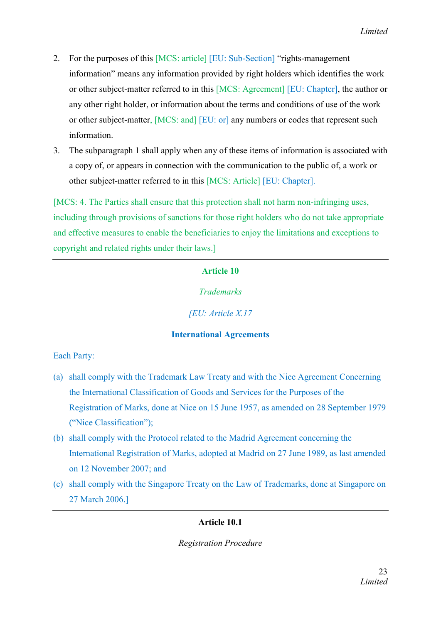- 2. For the purposes of this [MCS: article] [EU: Sub-Section] "rights-management information" means any information provided by right holders which identifies the work or other subject-matter referred to in this [MCS: Agreement] [EU: Chapter], the author or any other right holder, or information about the terms and conditions of use of the work or other subject-matter, [MCS: and] [EU: or] any numbers or codes that represent such information.
- 3. The subparagraph 1 shall apply when any of these items of information is associated with a copy of, or appears in connection with the communication to the public of, a work or other subject-matter referred to in this [MCS: Article] [EU: Chapter].

[MCS: 4. The Parties shall ensure that this protection shall not harm non-infringing uses, including through provisions of sanctions for those right holders who do not take appropriate and effective measures to enable the beneficiaries to enjoy the limitations and exceptions to copyright and related rights under their laws.]

## Article 10

*Trademarks* 

*[EU: Article X.17*

# International Agreements

Each Party:

- (a) shall comply with the Trademark Law Treaty and with the Nice Agreement Concerning the International Classification of Goods and Services for the Purposes of the Registration of Marks, done at Nice on 15 June 1957, as amended on 28 September 1979 ("Nice Classification");
- (b) shall comply with the Protocol related to the Madrid Agreement concerning the International Registration of Marks, adopted at Madrid on 27 June 1989, as last amended on 12 November 2007; and
- (c) shall comply with the Singapore Treaty on the Law of Trademarks, done at Singapore on 27 March 2006.]

# Article 10.1

*Registration Procedure*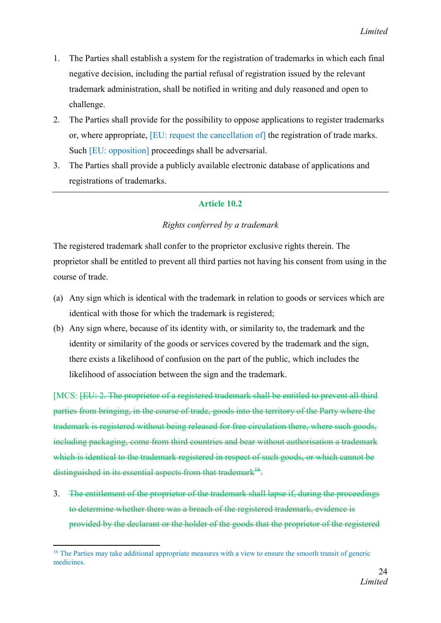- 1. The Parties shall establish a system for the registration of trademarks in which each final negative decision, including the partial refusal of registration issued by the relevant trademark administration, shall be notified in writing and duly reasoned and open to challenge.
- 2. The Parties shall provide for the possibility to oppose applications to register trademarks or, where appropriate, [EU: request the cancellation of] the registration of trade marks. Such [EU: opposition] proceedings shall be adversarial.
- 3. The Parties shall provide a publicly available electronic database of applications and registrations of trademarks.

## Article 10.2

## *Rights conferred by a trademark*

The registered trademark shall confer to the proprietor exclusive rights therein. The proprietor shall be entitled to prevent all third parties not having his consent from using in the course of trade.

- (a) Any sign which is identical with the trademark in relation to goods or services which are identical with those for which the trademark is registered;
- (b) Any sign where, because of its identity with, or similarity to, the trademark and the identity or similarity of the goods or services covered by the trademark and the sign, there exists a likelihood of confusion on the part of the public, which includes the likelihood of association between the sign and the trademark.

[MCS: <del>[EU: 2. The proprietor of a registered trademark shall be entitled to prevent all third</del> parties from bringing, in the course of trade, goods into the territory of the Party where the trademark is registered without being released for free circulation there, where such goods, including packaging, come from third countries and bear without authorisation a trademark which is identical to the trademark registered in respect of such goods, or which cannot be distinguished in its essential aspects from that trademark<sup>16</sup>.

3. The entitlement of the proprietor of the trademark shall lapse if, during the proceedings to determine whether there was a breach of the registered trademark, evidence is provided by the declarant or the holder of the goods that the proprietor of the registered

**<sup>.</sup>** <sup>16</sup> The Parties may take additional appropriate measures with a view to ensure the smooth transit of generic medicines.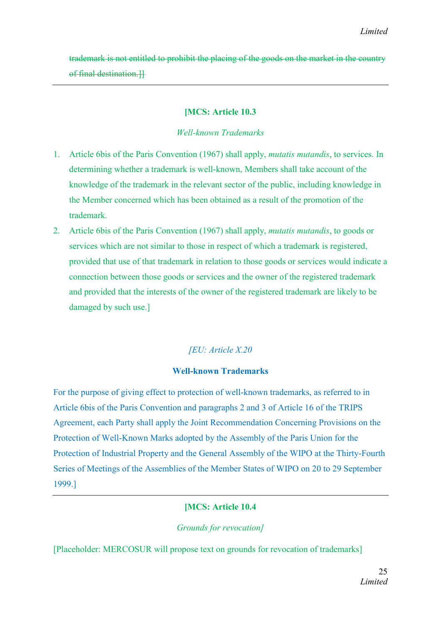trademark is not entitled to prohibit the placing of the goods on the market in the country of final destination.]]

# [MCS: Article 10.3

## *Well-known Trademarks*

- 1. Article 6bis of the Paris Convention (1967) shall apply, *mutatis mutandis*, to services. In determining whether a trademark is well-known, Members shall take account of the knowledge of the trademark in the relevant sector of the public, including knowledge in the Member concerned which has been obtained as a result of the promotion of the trademark.
- 2. Article 6bis of the Paris Convention (1967) shall apply, *mutatis mutandis*, to goods or services which are not similar to those in respect of which a trademark is registered, provided that use of that trademark in relation to those goods or services would indicate a connection between those goods or services and the owner of the registered trademark and provided that the interests of the owner of the registered trademark are likely to be damaged by such use.]

# *[EU: Article X.20*

# Well-known Trademarks

For the purpose of giving effect to protection of well-known trademarks, as referred to in Article 6bis of the Paris Convention and paragraphs 2 and 3 of Article 16 of the TRIPS Agreement, each Party shall apply the Joint Recommendation Concerning Provisions on the Protection of Well-Known Marks adopted by the Assembly of the Paris Union for the Protection of Industrial Property and the General Assembly of the WIPO at the Thirty-Fourth Series of Meetings of the Assemblies of the Member States of WIPO on 20 to 29 September 1999.]

# [MCS: Article 10.4

# *Grounds for revocation]*

[Placeholder: MERCOSUR will propose text on grounds for revocation of trademarks]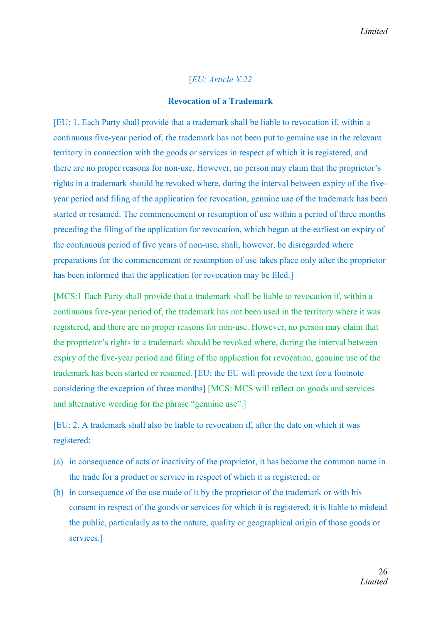## [*EU: Article X.22*

#### Revocation of a Trademark

[EU: 1. Each Party shall provide that a trademark shall be liable to revocation if, within a continuous five-year period of, the trademark has not been put to genuine use in the relevant territory in connection with the goods or services in respect of which it is registered, and there are no proper reasons for non-use. However, no person may claim that the proprietor's rights in a trademark should be revoked where, during the interval between expiry of the fiveyear period and filing of the application for revocation, genuine use of the trademark has been started or resumed. The commencement or resumption of use within a period of three months preceding the filing of the application for revocation, which began at the earliest on expiry of the continuous period of five years of non-use, shall, however, be disregarded where preparations for the commencement or resumption of use takes place only after the proprietor has been informed that the application for revocation may be filed.

[MCS:1 Each Party shall provide that a trademark shall be liable to revocation if, within a continuous five-year period of, the trademark has not been used in the territory where it was registered, and there are no proper reasons for non-use. However, no person may claim that the proprietor's rights in a trademark should be revoked where, during the interval between expiry of the five-year period and filing of the application for revocation, genuine use of the trademark has been started or resumed. [EU: the EU will provide the text for a footnote considering the exception of three months] [MCS: MCS will reflect on goods and services and alternative wording for the phrase "genuine use".]

[EU: 2. A trademark shall also be liable to revocation if, after the date on which it was registered:

- (a) in consequence of acts or inactivity of the proprietor, it has become the common name in the trade for a product or service in respect of which it is registered; or
- (b) in consequence of the use made of it by the proprietor of the trademark or with his consent in respect of the goods or services for which it is registered, it is liable to mislead the public, particularly as to the nature, quality or geographical origin of those goods or services.]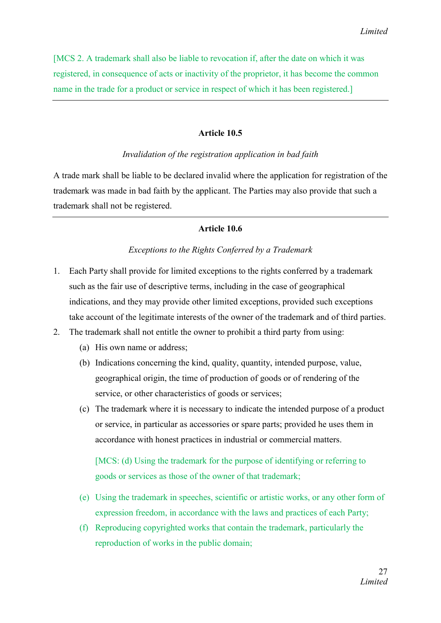[MCS 2. A trademark shall also be liable to revocation if, after the date on which it was registered, in consequence of acts or inactivity of the proprietor, it has become the common name in the trade for a product or service in respect of which it has been registered.]

#### Article 10.5

#### *Invalidation of the registration application in bad faith*

A trade mark shall be liable to be declared invalid where the application for registration of the trademark was made in bad faith by the applicant. The Parties may also provide that such a trademark shall not be registered.

#### Article 10.6

#### *Exceptions to the Rights Conferred by a Trademark*

- 1. Each Party shall provide for limited exceptions to the rights conferred by a trademark such as the fair use of descriptive terms, including in the case of geographical indications, and they may provide other limited exceptions, provided such exceptions take account of the legitimate interests of the owner of the trademark and of third parties.
- 2. The trademark shall not entitle the owner to prohibit a third party from using:
	- (a) His own name or address;
	- (b) Indications concerning the kind, quality, quantity, intended purpose, value, geographical origin, the time of production of goods or of rendering of the service, or other characteristics of goods or services;
	- (c) The trademark where it is necessary to indicate the intended purpose of a product or service, in particular as accessories or spare parts; provided he uses them in accordance with honest practices in industrial or commercial matters.

[MCS: (d) Using the trademark for the purpose of identifying or referring to goods or services as those of the owner of that trademark;

- (e) Using the trademark in speeches, scientific or artistic works, or any other form of expression freedom, in accordance with the laws and practices of each Party;
- (f) Reproducing copyrighted works that contain the trademark, particularly the reproduction of works in the public domain;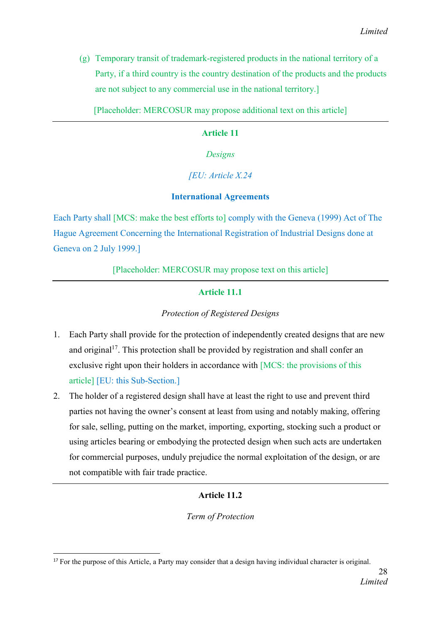(g) Temporary transit of trademark-registered products in the national territory of a Party, if a third country is the country destination of the products and the products are not subject to any commercial use in the national territory.]

[Placeholder: MERCOSUR may propose additional text on this article]

## Article 11

*Designs*

## *[EU: Article X.24*

## International Agreements

Each Party shall [MCS: make the best efforts to] comply with the Geneva (1999) Act of The Hague Agreement Concerning the International Registration of Industrial Designs done at Geneva on 2 July 1999.]

[Placeholder: MERCOSUR may propose text on this article]

# Article 11.1

## *Protection of Registered Designs*

- 1. Each Party shall provide for the protection of independently created designs that are new and original<sup>17</sup>. This protection shall be provided by registration and shall confer an exclusive right upon their holders in accordance with [MCS: the provisions of this article] [EU: this Sub-Section.]
- 2. The holder of a registered design shall have at least the right to use and prevent third parties not having the owner's consent at least from using and notably making, offering for sale, selling, putting on the market, importing, exporting, stocking such a product or using articles bearing or embodying the protected design when such acts are undertaken for commercial purposes, unduly prejudice the normal exploitation of the design, or are not compatible with fair trade practice.

## Article 11.2

*Term of Protection*

<sup>&</sup>lt;sup>17</sup> For the purpose of this Article, a Party may consider that a design having individual character is original.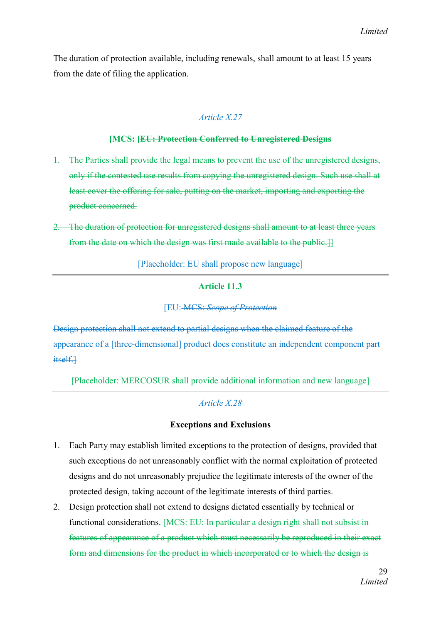The duration of protection available, including renewals, shall amount to at least 15 years from the date of filing the application.

# *Article X.27*

## [MCS: [EU: Protection Conferred to Unregistered Designs

- 1. The Parties shall provide the legal means to prevent the use of the unregistered designs, only if the contested use results from copying the unregistered design. Such use shall at least cover the offering for sale, putting on the market, importing and exporting the product concerned.
- 2. The duration of protection for unregistered designs shall amount to at least three years from the date on which the design was first made available to the public.]]

[Placeholder: EU shall propose new language]

# Article 11.3

# [EU: MCS: *Scope of Protection*

Design protection shall not extend to partial designs when the claimed feature of the appearance of a [three-dimensional] product does constitute an independent component part itself.

[Placeholder: MERCOSUR shall provide additional information and new language]

# *Article X.28*

# Exceptions and Exclusions

- 1. Each Party may establish limited exceptions to the protection of designs, provided that such exceptions do not unreasonably conflict with the normal exploitation of protected designs and do not unreasonably prejudice the legitimate interests of the owner of the protected design, taking account of the legitimate interests of third parties.
- 2. Design protection shall not extend to designs dictated essentially by technical or functional considerations. [MCS: EU: In particular a design right shall not subsist in features of appearance of a product which must necessarily be reproduced in their exact form and dimensions for the product in which incorporated or to which the design is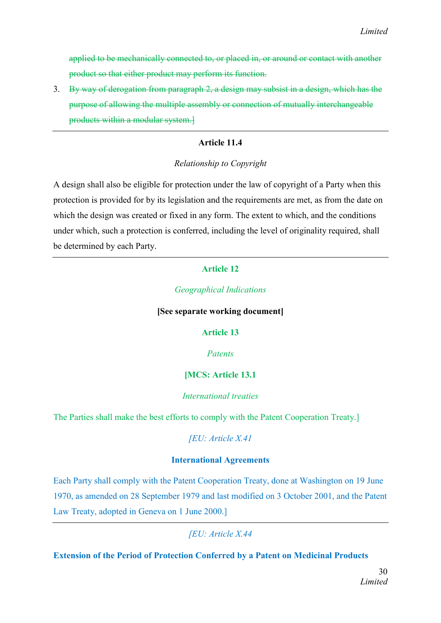applied to be mechanically connected to, or placed in, or around or contact with another product so that either product may perform its function.

3. By way of derogation from paragraph 2, a design may subsist in a design, which has the purpose of allowing the multiple assembly or connection of mutually interchangeable products within a modular system.]

## Article 11.4

## *Relationship to Copyright*

A design shall also be eligible for protection under the law of copyright of a Party when this protection is provided for by its legislation and the requirements are met, as from the date on which the design was created or fixed in any form. The extent to which, and the conditions under which, such a protection is conferred, including the level of originality required, shall be determined by each Party.

# Article 12

## *Geographical Indications*

#### [See separate working document]

## Article 13

## *Patents*

# [MCS: Article 13.1

## *International treaties*

The Parties shall make the best efforts to comply with the Patent Cooperation Treaty.]

## *[EU: Article X.41*

## International Agreements

Each Party shall comply with the Patent Cooperation Treaty, done at Washington on 19 June 1970, as amended on 28 September 1979 and last modified on 3 October 2001, and the Patent Law Treaty, adopted in Geneva on 1 June 2000.]

*[EU: Article X.44*

Extension of the Period of Protection Conferred by a Patent on Medicinal Products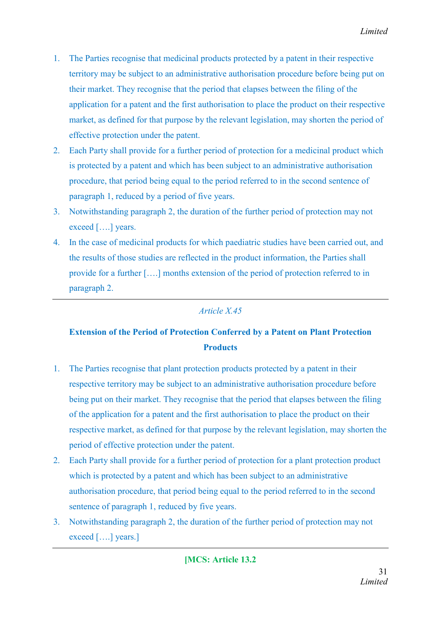- 1. The Parties recognise that medicinal products protected by a patent in their respective territory may be subject to an administrative authorisation procedure before being put on their market. They recognise that the period that elapses between the filing of the application for a patent and the first authorisation to place the product on their respective market, as defined for that purpose by the relevant legislation, may shorten the period of effective protection under the patent.
- 2. Each Party shall provide for a further period of protection for a medicinal product which is protected by a patent and which has been subject to an administrative authorisation procedure, that period being equal to the period referred to in the second sentence of paragraph 1, reduced by a period of five years.
- 3. Notwithstanding paragraph 2, the duration of the further period of protection may not exceed [….] years.
- 4. In the case of medicinal products for which paediatric studies have been carried out, and the results of those studies are reflected in the product information, the Parties shall provide for a further [….] months extension of the period of protection referred to in paragraph 2.

# *Article X.45*

# Extension of the Period of Protection Conferred by a Patent on Plant Protection **Products**

- 1. The Parties recognise that plant protection products protected by a patent in their respective territory may be subject to an administrative authorisation procedure before being put on their market. They recognise that the period that elapses between the filing of the application for a patent and the first authorisation to place the product on their respective market, as defined for that purpose by the relevant legislation, may shorten the period of effective protection under the patent.
- 2. Each Party shall provide for a further period of protection for a plant protection product which is protected by a patent and which has been subject to an administrative authorisation procedure, that period being equal to the period referred to in the second sentence of paragraph 1, reduced by five years.
- 3. Notwithstanding paragraph 2, the duration of the further period of protection may not exceed [….] years.]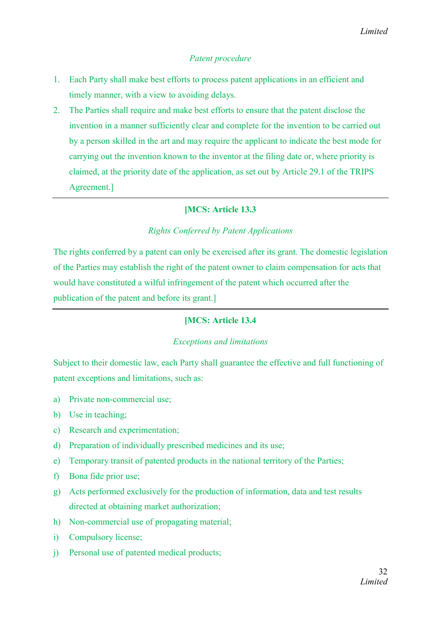## *Patent procedure*

- 1. Each Party shall make best efforts to process patent applications in an efficient and timely manner, with a view to avoiding delays.
- 2. The Parties shall require and make best efforts to ensure that the patent disclose the invention in a manner sufficiently clear and complete for the invention to be carried out by a person skilled in the art and may require the applicant to indicate the best mode for carrying out the invention known to the inventor at the filing date or, where priority is claimed, at the priority date of the application, as set out by Article 29.1 of the TRIPS Agreement.]

## [MCS: Article 13.3

## *Rights Conferred by Patent Applications*

The rights conferred by a patent can only be exercised after its grant. The domestic legislation of the Parties may establish the right of the patent owner to claim compensation for acts that would have constituted a wilful infringement of the patent which occurred after the publication of the patent and before its grant.]

## [MCS: Article 13.4

#### *Exceptions and limitations*

Subject to their domestic law, each Party shall guarantee the effective and full functioning of patent exceptions and limitations, such as:

- a) Private non-commercial use;
- b) Use in teaching;
- c) Research and experimentation;
- d) Preparation of individually prescribed medicines and its use;
- e) Temporary transit of patented products in the national territory of the Parties;
- f) Bona fide prior use;
- g) Acts performed exclusively for the production of information, data and test results directed at obtaining market authorization;
- h) Non-commercial use of propagating material;
- i) Compulsory license;
- j) Personal use of patented medical products;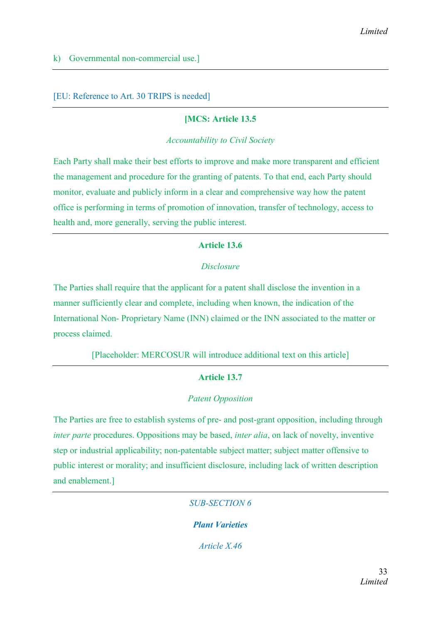[EU: Reference to Art. 30 TRIPS is needed]

## [MCS: Article 13.5

*Accountability to Civil Society*

Each Party shall make their best efforts to improve and make more transparent and efficient the management and procedure for the granting of patents. To that end, each Party should monitor, evaluate and publicly inform in a clear and comprehensive way how the patent office is performing in terms of promotion of innovation, transfer of technology, access to health and, more generally, serving the public interest.

## Article 13.6

## *Disclosure*

The Parties shall require that the applicant for a patent shall disclose the invention in a manner sufficiently clear and complete, including when known, the indication of the International Non- Proprietary Name (INN) claimed or the INN associated to the matter or process claimed.

[Placeholder: MERCOSUR will introduce additional text on this article]

## Article 13.7

#### *Patent Opposition*

The Parties are free to establish systems of pre- and post-grant opposition, including through *inter parte* procedures. Oppositions may be based, *inter alia*, on lack of novelty, inventive step or industrial applicability; non-patentable subject matter; subject matter offensive to public interest or morality; and insufficient disclosure, including lack of written description and enablement.]

*SUB-SECTION 6*

*Plant Varieties*

*Article X.46*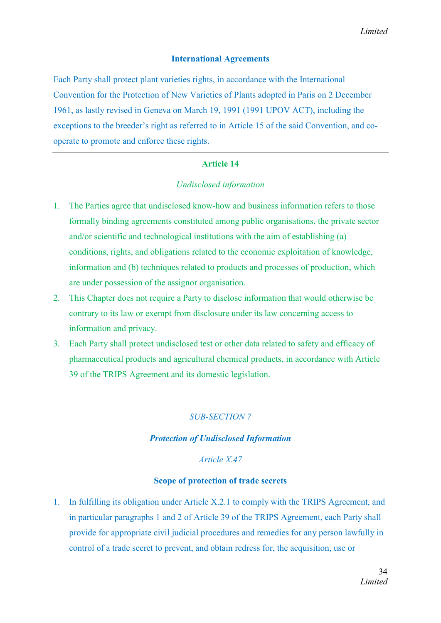## International Agreements

Each Party shall protect plant varieties rights, in accordance with the International Convention for the Protection of New Varieties of Plants adopted in Paris on 2 December 1961, as lastly revised in Geneva on March 19, 1991 (1991 UPOV ACT), including the exceptions to the breeder's right as referred to in Article 15 of the said Convention, and cooperate to promote and enforce these rights.

#### Article 14

#### *Undisclosed information*

- 1. The Parties agree that undisclosed know-how and business information refers to those formally binding agreements constituted among public organisations, the private sector and/or scientific and technological institutions with the aim of establishing (a) conditions, rights, and obligations related to the economic exploitation of knowledge, information and (b) techniques related to products and processes of production, which are under possession of the assignor organisation.
- 2. This Chapter does not require a Party to disclose information that would otherwise be contrary to its law or exempt from disclosure under its law concerning access to information and privacy.
- 3. Each Party shall protect undisclosed test or other data related to safety and efficacy of pharmaceutical products and agricultural chemical products, in accordance with Article 39 of the TRIPS Agreement and its domestic legislation.

# *SUB-SECTION 7*

#### *Protection of Undisclosed Information*

## *Article X.47*

#### Scope of protection of trade secrets

1. In fulfilling its obligation under Article X.2.1 to comply with the TRIPS Agreement, and in particular paragraphs 1 and 2 of Article 39 of the TRIPS Agreement, each Party shall provide for appropriate civil judicial procedures and remedies for any person lawfully in control of a trade secret to prevent, and obtain redress for, the acquisition, use or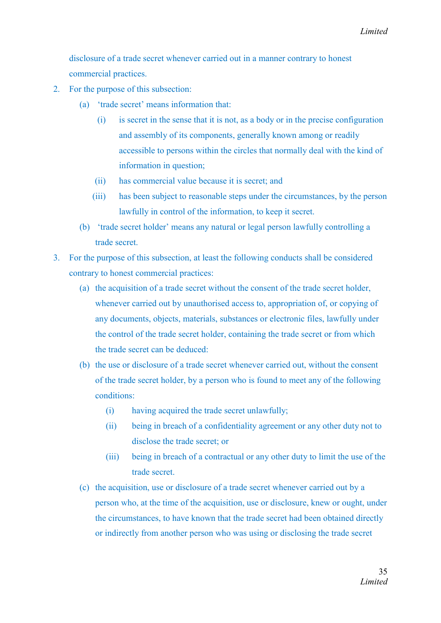disclosure of a trade secret whenever carried out in a manner contrary to honest commercial practices.

- 2. For the purpose of this subsection:
	- (a) 'trade secret' means information that:
		- (i) is secret in the sense that it is not, as a body or in the precise configuration and assembly of its components, generally known among or readily accessible to persons within the circles that normally deal with the kind of information in question;
		- (ii) has commercial value because it is secret; and
		- (iii) has been subject to reasonable steps under the circumstances, by the person lawfully in control of the information, to keep it secret.
	- (b) 'trade secret holder' means any natural or legal person lawfully controlling a trade secret.
- 3. For the purpose of this subsection, at least the following conducts shall be considered contrary to honest commercial practices:
	- (a) the acquisition of a trade secret without the consent of the trade secret holder, whenever carried out by unauthorised access to, appropriation of, or copying of any documents, objects, materials, substances or electronic files, lawfully under the control of the trade secret holder, containing the trade secret or from which the trade secret can be deduced:
	- (b) the use or disclosure of a trade secret whenever carried out, without the consent of the trade secret holder, by a person who is found to meet any of the following conditions:
		- (i) having acquired the trade secret unlawfully;
		- (ii) being in breach of a confidentiality agreement or any other duty not to disclose the trade secret; or
		- (iii) being in breach of a contractual or any other duty to limit the use of the trade secret.
	- (c) the acquisition, use or disclosure of a trade secret whenever carried out by a person who, at the time of the acquisition, use or disclosure, knew or ought, under the circumstances, to have known that the trade secret had been obtained directly or indirectly from another person who was using or disclosing the trade secret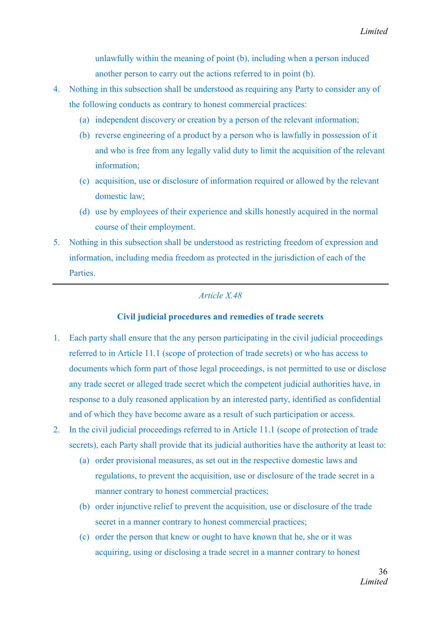unlawfully within the meaning of point (b), including when a person induced another person to carry out the actions referred to in point (b).

- 4. Nothing in this subsection shall be understood as requiring any Party to consider any of the following conducts as contrary to honest commercial practices:
	- (a) independent discovery or creation by a person of the relevant information;
	- (b) reverse engineering of a product by a person who is lawfully in possession of it and who is free from any legally valid duty to limit the acquisition of the relevant information;
	- (c) acquisition, use or disclosure of information required or allowed by the relevant domestic law;
	- (d) use by employees of their experience and skills honestly acquired in the normal course of their employment.
- 5. Nothing in this subsection shall be understood as restricting freedom of expression and information, including media freedom as protected in the jurisdiction of each of the **Parties**

## *Article X.48*

## Civil judicial procedures and remedies of trade secrets

- 1. Each party shall ensure that the any person participating in the civil judicial proceedings referred to in Article 11.1 (scope of protection of trade secrets) or who has access to documents which form part of those legal proceedings, is not permitted to use or disclose any trade secret or alleged trade secret which the competent judicial authorities have, in response to a duly reasoned application by an interested party, identified as confidential and of which they have become aware as a result of such participation or access.
- 2. In the civil judicial proceedings referred to in Article 11.1 (scope of protection of trade secrets), each Party shall provide that its judicial authorities have the authority at least to:
	- (a) order provisional measures, as set out in the respective domestic laws and regulations, to prevent the acquisition, use or disclosure of the trade secret in a manner contrary to honest commercial practices;
	- (b) order injunctive relief to prevent the acquisition, use or disclosure of the trade secret in a manner contrary to honest commercial practices;
	- (c) order the person that knew or ought to have known that he, she or it was acquiring, using or disclosing a trade secret in a manner contrary to honest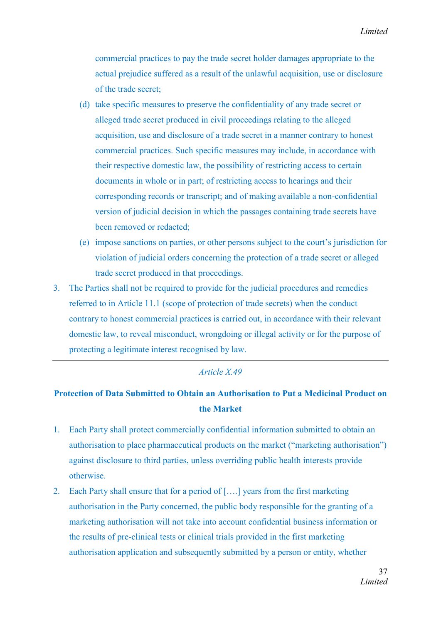*Limited*

commercial practices to pay the trade secret holder damages appropriate to the actual prejudice suffered as a result of the unlawful acquisition, use or disclosure of the trade secret;

- (d) take specific measures to preserve the confidentiality of any trade secret or alleged trade secret produced in civil proceedings relating to the alleged acquisition, use and disclosure of a trade secret in a manner contrary to honest commercial practices. Such specific measures may include, in accordance with their respective domestic law, the possibility of restricting access to certain documents in whole or in part; of restricting access to hearings and their corresponding records or transcript; and of making available a non-confidential version of judicial decision in which the passages containing trade secrets have been removed or redacted;
- (e) impose sanctions on parties, or other persons subject to the court's jurisdiction for violation of judicial orders concerning the protection of a trade secret or alleged trade secret produced in that proceedings.
- 3. The Parties shall not be required to provide for the judicial procedures and remedies referred to in Article 11.1 (scope of protection of trade secrets) when the conduct contrary to honest commercial practices is carried out, in accordance with their relevant domestic law, to reveal misconduct, wrongdoing or illegal activity or for the purpose of protecting a legitimate interest recognised by law.

## *Article X.49*

# Protection of Data Submitted to Obtain an Authorisation to Put a Medicinal Product on the Market

- 1. Each Party shall protect commercially confidential information submitted to obtain an authorisation to place pharmaceutical products on the market ("marketing authorisation") against disclosure to third parties, unless overriding public health interests provide otherwise.
- 2. Each Party shall ensure that for a period of [….] years from the first marketing authorisation in the Party concerned, the public body responsible for the granting of a marketing authorisation will not take into account confidential business information or the results of pre-clinical tests or clinical trials provided in the first marketing authorisation application and subsequently submitted by a person or entity, whether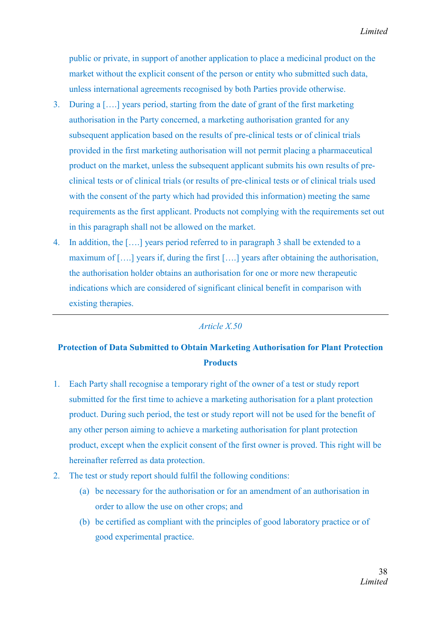public or private, in support of another application to place a medicinal product on the market without the explicit consent of the person or entity who submitted such data, unless international agreements recognised by both Parties provide otherwise.

- 3. During a [….] years period, starting from the date of grant of the first marketing authorisation in the Party concerned, a marketing authorisation granted for any subsequent application based on the results of pre-clinical tests or of clinical trials provided in the first marketing authorisation will not permit placing a pharmaceutical product on the market, unless the subsequent applicant submits his own results of preclinical tests or of clinical trials (or results of pre-clinical tests or of clinical trials used with the consent of the party which had provided this information) meeting the same requirements as the first applicant. Products not complying with the requirements set out in this paragraph shall not be allowed on the market.
- 4. In addition, the [….] years period referred to in paragraph 3 shall be extended to a maximum of [….] years if, during the first [….] years after obtaining the authorisation, the authorisation holder obtains an authorisation for one or more new therapeutic indications which are considered of significant clinical benefit in comparison with existing therapies.

#### *Article X.50*

# Protection of Data Submitted to Obtain Marketing Authorisation for Plant Protection **Products**

- 1. Each Party shall recognise a temporary right of the owner of a test or study report submitted for the first time to achieve a marketing authorisation for a plant protection product. During such period, the test or study report will not be used for the benefit of any other person aiming to achieve a marketing authorisation for plant protection product, except when the explicit consent of the first owner is proved. This right will be hereinafter referred as data protection.
- 2. The test or study report should fulfil the following conditions:
	- (a) be necessary for the authorisation or for an amendment of an authorisation in order to allow the use on other crops; and
	- (b) be certified as compliant with the principles of good laboratory practice or of good experimental practice.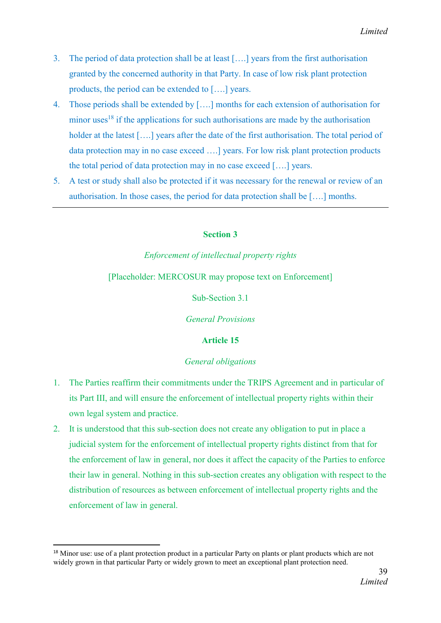- 3. The period of data protection shall be at least [….] years from the first authorisation granted by the concerned authority in that Party. In case of low risk plant protection products, the period can be extended to [….] years.
- 4. Those periods shall be extended by [….] months for each extension of authorisation for minor uses<sup>18</sup> if the applications for such authorisations are made by the authorisation holder at the latest [....] years after the date of the first authorisation. The total period of data protection may in no case exceed ….] years. For low risk plant protection products the total period of data protection may in no case exceed [….] years.
- 5. A test or study shall also be protected if it was necessary for the renewal or review of an authorisation. In those cases, the period for data protection shall be [….] months.

## Section 3

# *Enforcement of intellectual property rights*

## [Placeholder: MERCOSUR may propose text on Enforcement]

Sub-Section 3.1

*General Provisions*

# Article 15

## *General obligations*

- 1. The Parties reaffirm their commitments under the TRIPS Agreement and in particular of its Part III, and will ensure the enforcement of intellectual property rights within their own legal system and practice.
- 2. It is understood that this sub-section does not create any obligation to put in place a judicial system for the enforcement of intellectual property rights distinct from that for the enforcement of law in general, nor does it affect the capacity of the Parties to enforce their law in general. Nothing in this sub-section creates any obligation with respect to the distribution of resources as between enforcement of intellectual property rights and the enforcement of law in general.

<sup>&</sup>lt;sup>18</sup> Minor use: use of a plant protection product in a particular Party on plants or plant products which are not widely grown in that particular Party or widely grown to meet an exceptional plant protection need.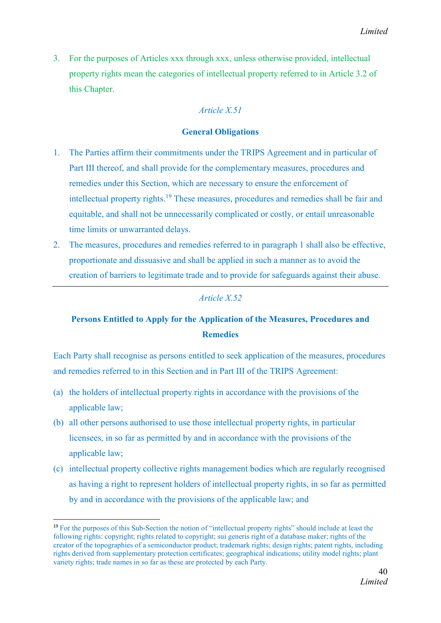3. For the purposes of Articles xxx through xxx, unless otherwise provided, intellectual property rights mean the categories of intellectual property referred to in Article 3.2 of this Chapter.

# *Article X.51*

## General Obligations

- 1. The Parties affirm their commitments under the TRIPS Agreement and in particular of Part III thereof, and shall provide for the complementary measures, procedures and remedies under this Section, which are necessary to ensure the enforcement of intellectual property rights. <sup>19</sup> These measures, procedures and remedies shall be fair and equitable, and shall not be unnecessarily complicated or costly, or entail unreasonable time limits or unwarranted delays.
- 2. The measures, procedures and remedies referred to in paragraph 1 shall also be effective, proportionate and dissuasive and shall be applied in such a manner as to avoid the creation of barriers to legitimate trade and to provide for safeguards against their abuse.

# *Article X.52*

# Persons Entitled to Apply for the Application of the Measures, Procedures and **Remedies**

Each Party shall recognise as persons entitled to seek application of the measures, procedures and remedies referred to in this Section and in Part III of the TRIPS Agreement:

- (a) the holders of intellectual property rights in accordance with the provisions of the applicable law;
- (b) all other persons authorised to use those intellectual property rights, in particular licensees, in so far as permitted by and in accordance with the provisions of the applicable law;
- (c) intellectual property collective rights management bodies which are regularly recognised as having a right to represent holders of intellectual property rights, in so far as permitted by and in accordance with the provisions of the applicable law; and

 <sup>19</sup> For the purposes of this Sub-Section the notion of "intellectual property rights" should include at least the following rights: copyright; rights related to copyright; sui generis right of a database maker; rights of the creator of the topographies of a semiconductor product; trademark rights; design rights; patent rights, including rights derived from supplementary protection certificates; geographical indications; utility model rights; plant variety rights; trade names in so far as these are protected by each Party.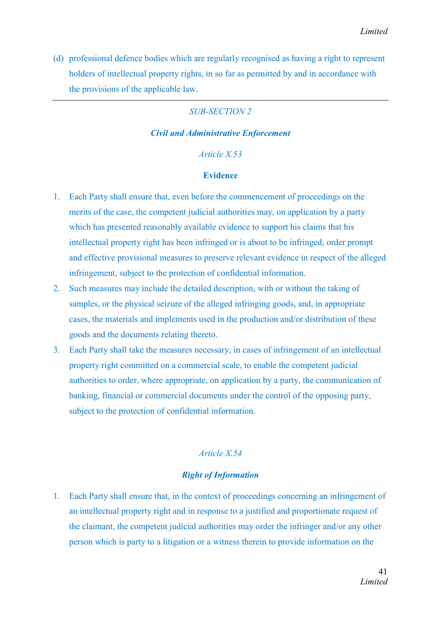(d) professional defence bodies which are regularly recognised as having a right to represent holders of intellectual property rights, in so far as permitted by and in accordance with the provisions of the applicable law.

## *SUB-SECTION 2*

#### *Civil and Administrative Enforcement*

#### *Article X.53*

#### Evidence

- 1. Each Party shall ensure that, even before the commencement of proceedings on the merits of the case, the competent judicial authorities may, on application by a party which has presented reasonably available evidence to support his claims that his intellectual property right has been infringed or is about to be infringed, order prompt and effective provisional measures to preserve relevant evidence in respect of the alleged infringement, subject to the protection of confidential information.
- 2. Such measures may include the detailed description, with or without the taking of samples, or the physical seizure of the alleged infringing goods, and, in appropriate cases, the materials and implements used in the production and/or distribution of these goods and the documents relating thereto.
- 3. Each Party shall take the measures necessary, in cases of infringement of an intellectual property right committed on a commercial scale, to enable the competent judicial authorities to order, where appropriate, on application by a party, the communication of banking, financial or commercial documents under the control of the opposing party, subject to the protection of confidential information.

#### *Article X.54*

## *Right of Information*

1. Each Party shall ensure that, in the context of proceedings concerning an infringement of an intellectual property right and in response to a justified and proportionate request of the claimant, the competent judicial authorities may order the infringer and/or any other person which is party to a litigation or a witness therein to provide information on the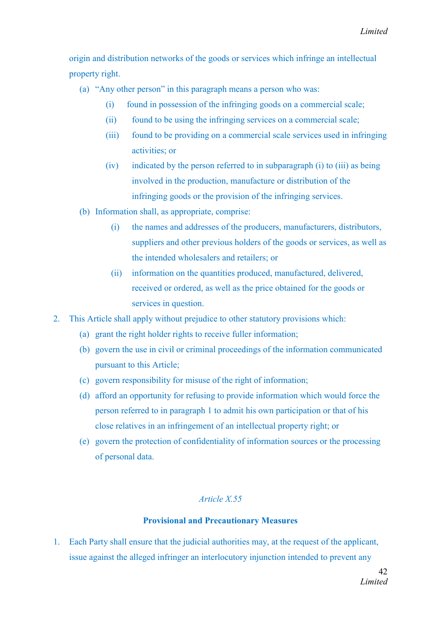origin and distribution networks of the goods or services which infringe an intellectual property right.

- (a) "Any other person" in this paragraph means a person who was:
	- (i) found in possession of the infringing goods on a commercial scale;
	- (ii) found to be using the infringing services on a commercial scale;
	- (iii) found to be providing on a commercial scale services used in infringing activities; or
	- (iv) indicated by the person referred to in subparagraph (i) to (iii) as being involved in the production, manufacture or distribution of the infringing goods or the provision of the infringing services.
- (b) Information shall, as appropriate, comprise:
	- (i) the names and addresses of the producers, manufacturers, distributors, suppliers and other previous holders of the goods or services, as well as the intended wholesalers and retailers; or
	- (ii) information on the quantities produced, manufactured, delivered, received or ordered, as well as the price obtained for the goods or services in question.
- 2. This Article shall apply without prejudice to other statutory provisions which:
	- (a) grant the right holder rights to receive fuller information;
	- (b) govern the use in civil or criminal proceedings of the information communicated pursuant to this Article;
	- (c) govern responsibility for misuse of the right of information;
	- (d) afford an opportunity for refusing to provide information which would force the person referred to in paragraph 1 to admit his own participation or that of his close relatives in an infringement of an intellectual property right; or
	- (e) govern the protection of confidentiality of information sources or the processing of personal data.

## *Article X.55*

#### Provisional and Precautionary Measures

1. Each Party shall ensure that the judicial authorities may, at the request of the applicant, issue against the alleged infringer an interlocutory injunction intended to prevent any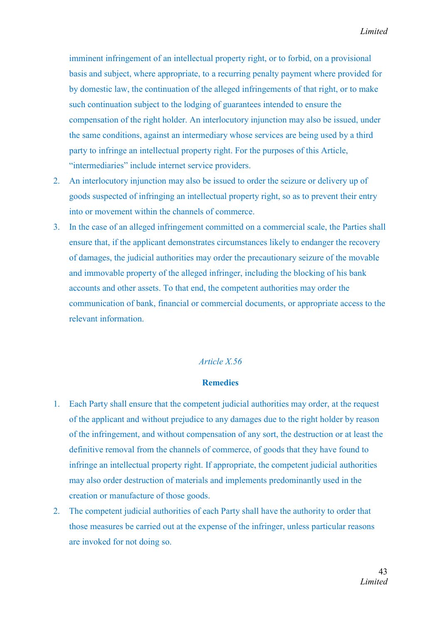imminent infringement of an intellectual property right, or to forbid, on a provisional basis and subject, where appropriate, to a recurring penalty payment where provided for by domestic law, the continuation of the alleged infringements of that right, or to make such continuation subject to the lodging of guarantees intended to ensure the compensation of the right holder. An interlocutory injunction may also be issued, under the same conditions, against an intermediary whose services are being used by a third party to infringe an intellectual property right. For the purposes of this Article, "intermediaries" include internet service providers.

- 2. An interlocutory injunction may also be issued to order the seizure or delivery up of goods suspected of infringing an intellectual property right, so as to prevent their entry into or movement within the channels of commerce.
- 3. In the case of an alleged infringement committed on a commercial scale, the Parties shall ensure that, if the applicant demonstrates circumstances likely to endanger the recovery of damages, the judicial authorities may order the precautionary seizure of the movable and immovable property of the alleged infringer, including the blocking of his bank accounts and other assets. To that end, the competent authorities may order the communication of bank, financial or commercial documents, or appropriate access to the relevant information.

#### *Article X.56*

#### **Remedies**

- 1. Each Party shall ensure that the competent judicial authorities may order, at the request of the applicant and without prejudice to any damages due to the right holder by reason of the infringement, and without compensation of any sort, the destruction or at least the definitive removal from the channels of commerce, of goods that they have found to infringe an intellectual property right. If appropriate, the competent judicial authorities may also order destruction of materials and implements predominantly used in the creation or manufacture of those goods.
- 2. The competent judicial authorities of each Party shall have the authority to order that those measures be carried out at the expense of the infringer, unless particular reasons are invoked for not doing so.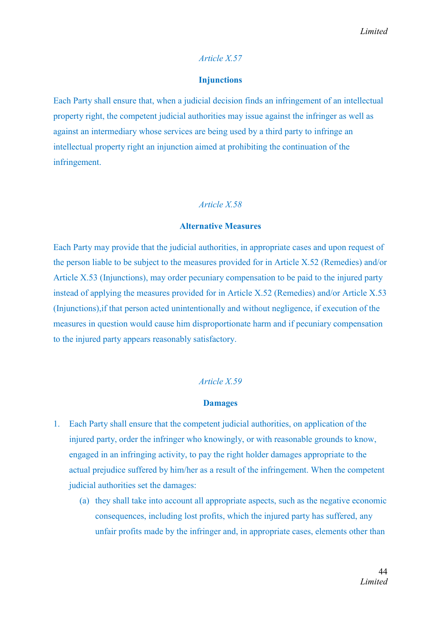#### *Article X.57*

#### Injunctions

Each Party shall ensure that, when a judicial decision finds an infringement of an intellectual property right, the competent judicial authorities may issue against the infringer as well as against an intermediary whose services are being used by a third party to infringe an intellectual property right an injunction aimed at prohibiting the continuation of the infringement.

#### *Article X.58*

#### Alternative Measures

Each Party may provide that the judicial authorities, in appropriate cases and upon request of the person liable to be subject to the measures provided for in Article X.52 (Remedies) and/or Article X.53 (Injunctions), may order pecuniary compensation to be paid to the injured party instead of applying the measures provided for in Article X.52 (Remedies) and/or Article X.53 (Injunctions),if that person acted unintentionally and without negligence, if execution of the measures in question would cause him disproportionate harm and if pecuniary compensation to the injured party appears reasonably satisfactory.

#### *Article X.59*

#### Damages

- 1. Each Party shall ensure that the competent judicial authorities, on application of the injured party, order the infringer who knowingly, or with reasonable grounds to know, engaged in an infringing activity, to pay the right holder damages appropriate to the actual prejudice suffered by him/her as a result of the infringement. When the competent judicial authorities set the damages:
	- (a) they shall take into account all appropriate aspects, such as the negative economic consequences, including lost profits, which the injured party has suffered, any unfair profits made by the infringer and, in appropriate cases, elements other than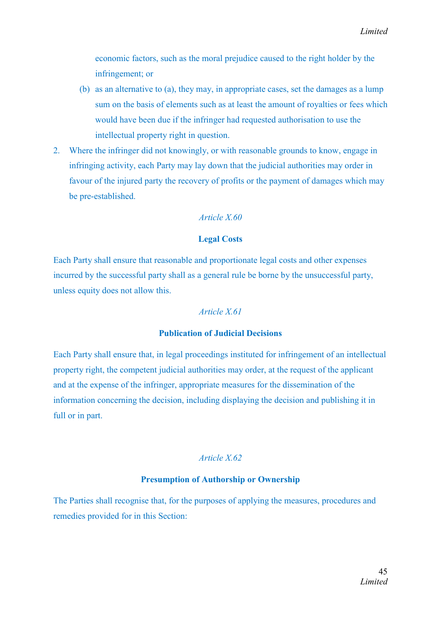economic factors, such as the moral prejudice caused to the right holder by the infringement; or

- (b) as an alternative to (a), they may, in appropriate cases, set the damages as a lump sum on the basis of elements such as at least the amount of royalties or fees which would have been due if the infringer had requested authorisation to use the intellectual property right in question.
- 2. Where the infringer did not knowingly, or with reasonable grounds to know, engage in infringing activity, each Party may lay down that the judicial authorities may order in favour of the injured party the recovery of profits or the payment of damages which may be pre-established.

## *Article X.60*

#### Legal Costs

Each Party shall ensure that reasonable and proportionate legal costs and other expenses incurred by the successful party shall as a general rule be borne by the unsuccessful party, unless equity does not allow this.

#### *Article X.61*

#### Publication of Judicial Decisions

Each Party shall ensure that, in legal proceedings instituted for infringement of an intellectual property right, the competent judicial authorities may order, at the request of the applicant and at the expense of the infringer, appropriate measures for the dissemination of the information concerning the decision, including displaying the decision and publishing it in full or in part.

#### *Article X.62*

## Presumption of Authorship or Ownership

The Parties shall recognise that, for the purposes of applying the measures, procedures and remedies provided for in this Section: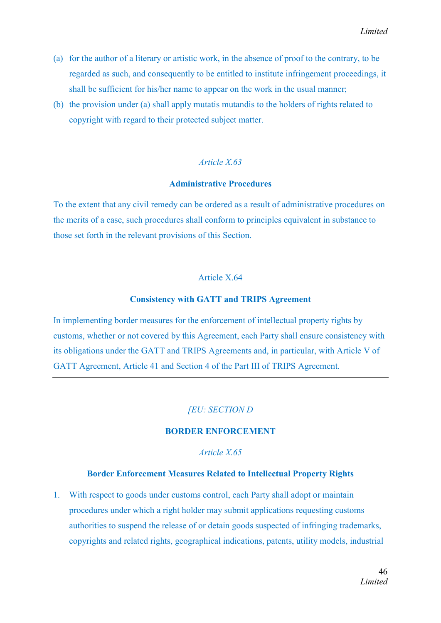- (a) for the author of a literary or artistic work, in the absence of proof to the contrary, to be regarded as such, and consequently to be entitled to institute infringement proceedings, it shall be sufficient for his/her name to appear on the work in the usual manner;
- (b) the provision under (a) shall apply mutatis mutandis to the holders of rights related to copyright with regard to their protected subject matter.

#### *Article X.63*

#### Administrative Procedures

To the extent that any civil remedy can be ordered as a result of administrative procedures on the merits of a case, such procedures shall conform to principles equivalent in substance to those set forth in the relevant provisions of this Section.

#### Article X.64

#### Consistency with GATT and TRIPS Agreement

In implementing border measures for the enforcement of intellectual property rights by customs, whether or not covered by this Agreement, each Party shall ensure consistency with its obligations under the GATT and TRIPS Agreements and, in particular, with Article V of GATT Agreement, Article 41 and Section 4 of the Part III of TRIPS Agreement.

## *[EU: SECTION D*

#### BORDER ENFORCEMENT

*Article X.65*

#### Border Enforcement Measures Related to Intellectual Property Rights

1. With respect to goods under customs control, each Party shall adopt or maintain procedures under which a right holder may submit applications requesting customs authorities to suspend the release of or detain goods suspected of infringing trademarks, copyrights and related rights, geographical indications, patents, utility models, industrial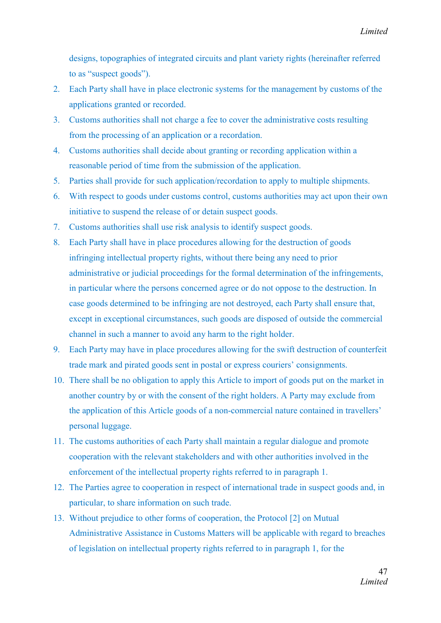designs, topographies of integrated circuits and plant variety rights (hereinafter referred to as "suspect goods").

- 2. Each Party shall have in place electronic systems for the management by customs of the applications granted or recorded.
- 3. Customs authorities shall not charge a fee to cover the administrative costs resulting from the processing of an application or a recordation.
- 4. Customs authorities shall decide about granting or recording application within a reasonable period of time from the submission of the application.
- 5. Parties shall provide for such application/recordation to apply to multiple shipments.
- 6. With respect to goods under customs control, customs authorities may act upon their own initiative to suspend the release of or detain suspect goods.
- 7. Customs authorities shall use risk analysis to identify suspect goods.
- 8. Each Party shall have in place procedures allowing for the destruction of goods infringing intellectual property rights, without there being any need to prior administrative or judicial proceedings for the formal determination of the infringements, in particular where the persons concerned agree or do not oppose to the destruction. In case goods determined to be infringing are not destroyed, each Party shall ensure that, except in exceptional circumstances, such goods are disposed of outside the commercial channel in such a manner to avoid any harm to the right holder.
- 9. Each Party may have in place procedures allowing for the swift destruction of counterfeit trade mark and pirated goods sent in postal or express couriers' consignments.
- 10. There shall be no obligation to apply this Article to import of goods put on the market in another country by or with the consent of the right holders. A Party may exclude from the application of this Article goods of a non-commercial nature contained in travellers' personal luggage.
- 11. The customs authorities of each Party shall maintain a regular dialogue and promote cooperation with the relevant stakeholders and with other authorities involved in the enforcement of the intellectual property rights referred to in paragraph 1.
- 12. The Parties agree to cooperation in respect of international trade in suspect goods and, in particular, to share information on such trade.
- 13. Without prejudice to other forms of cooperation, the Protocol [2] on Mutual Administrative Assistance in Customs Matters will be applicable with regard to breaches of legislation on intellectual property rights referred to in paragraph 1, for the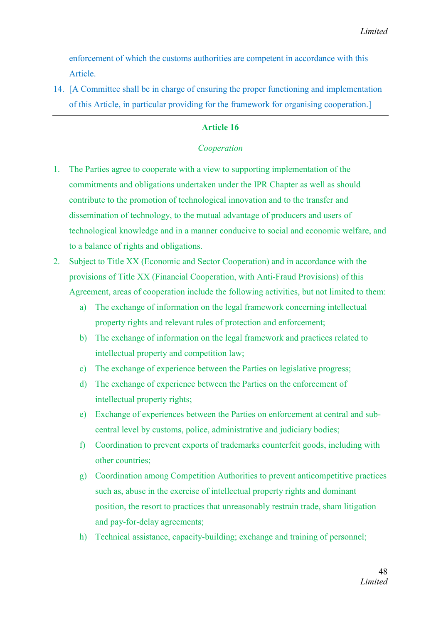enforcement of which the customs authorities are competent in accordance with this Article.

14. [A Committee shall be in charge of ensuring the proper functioning and implementation of this Article, in particular providing for the framework for organising cooperation.]

## Article 16

## *Cooperation*

- 1. The Parties agree to cooperate with a view to supporting implementation of the commitments and obligations undertaken under the IPR Chapter as well as should contribute to the promotion of technological innovation and to the transfer and dissemination of technology, to the mutual advantage of producers and users of technological knowledge and in a manner conducive to social and economic welfare, and to a balance of rights and obligations.
- 2. Subject to Title XX (Economic and Sector Cooperation) and in accordance with the provisions of Title XX (Financial Cooperation, with Anti-Fraud Provisions) of this Agreement, areas of cooperation include the following activities, but not limited to them:
	- a) The exchange of information on the legal framework concerning intellectual property rights and relevant rules of protection and enforcement;
	- b) The exchange of information on the legal framework and practices related to intellectual property and competition law;
	- c) The exchange of experience between the Parties on legislative progress;
	- d) The exchange of experience between the Parties on the enforcement of intellectual property rights;
	- e) Exchange of experiences between the Parties on enforcement at central and subcentral level by customs, police, administrative and judiciary bodies;
	- f) Coordination to prevent exports of trademarks counterfeit goods, including with other countries;
	- g) Coordination among Competition Authorities to prevent anticompetitive practices such as, abuse in the exercise of intellectual property rights and dominant position, the resort to practices that unreasonably restrain trade, sham litigation and pay-for-delay agreements;
	- h) Technical assistance, capacity-building; exchange and training of personnel;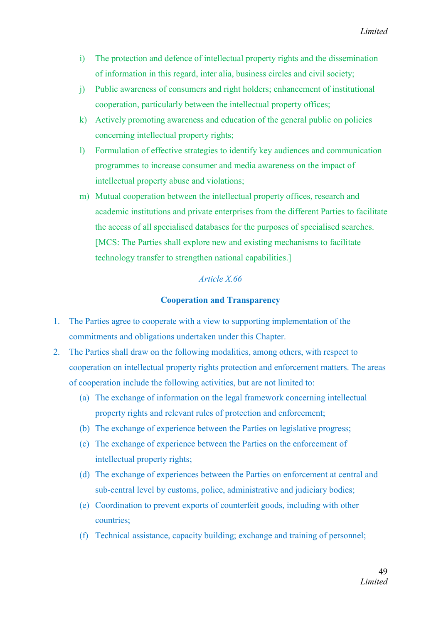- i) The protection and defence of intellectual property rights and the dissemination of information in this regard, inter alia, business circles and civil society;
- j) Public awareness of consumers and right holders; enhancement of institutional cooperation, particularly between the intellectual property offices;
- k) Actively promoting awareness and education of the general public on policies concerning intellectual property rights;
- l) Formulation of effective strategies to identify key audiences and communication programmes to increase consumer and media awareness on the impact of intellectual property abuse and violations;
- m) Mutual cooperation between the intellectual property offices, research and academic institutions and private enterprises from the different Parties to facilitate the access of all specialised databases for the purposes of specialised searches. [MCS: The Parties shall explore new and existing mechanisms to facilitate technology transfer to strengthen national capabilities.]

## *Article X.66*

## Cooperation and Transparency

- 1. The Parties agree to cooperate with a view to supporting implementation of the commitments and obligations undertaken under this Chapter.
- 2. The Parties shall draw on the following modalities, among others, with respect to cooperation on intellectual property rights protection and enforcement matters. The areas of cooperation include the following activities, but are not limited to:
	- (a) The exchange of information on the legal framework concerning intellectual property rights and relevant rules of protection and enforcement;
	- (b) The exchange of experience between the Parties on legislative progress;
	- (c) The exchange of experience between the Parties on the enforcement of intellectual property rights;
	- (d) The exchange of experiences between the Parties on enforcement at central and sub-central level by customs, police, administrative and judiciary bodies;
	- (e) Coordination to prevent exports of counterfeit goods, including with other countries;
	- (f) Technical assistance, capacity building; exchange and training of personnel;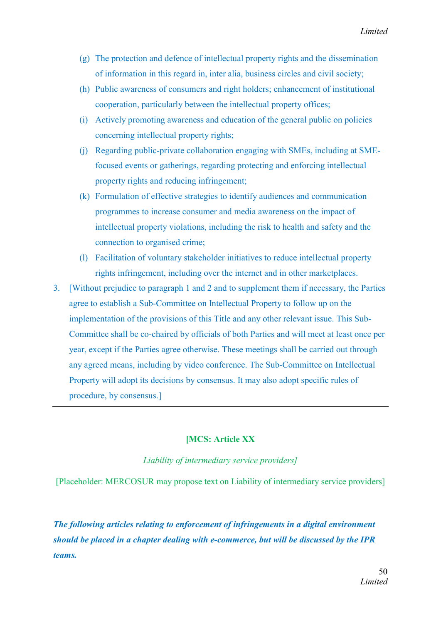- (g) The protection and defence of intellectual property rights and the dissemination of information in this regard in, inter alia, business circles and civil society;
- (h) Public awareness of consumers and right holders; enhancement of institutional cooperation, particularly between the intellectual property offices;
- (i) Actively promoting awareness and education of the general public on policies concerning intellectual property rights;
- (j) Regarding public-private collaboration engaging with SMEs, including at SMEfocused events or gatherings, regarding protecting and enforcing intellectual property rights and reducing infringement;
- (k) Formulation of effective strategies to identify audiences and communication programmes to increase consumer and media awareness on the impact of intellectual property violations, including the risk to health and safety and the connection to organised crime;
- (l) Facilitation of voluntary stakeholder initiatives to reduce intellectual property rights infringement, including over the internet and in other marketplaces.
- 3. [Without prejudice to paragraph 1 and 2 and to supplement them if necessary, the Parties agree to establish a Sub-Committee on Intellectual Property to follow up on the implementation of the provisions of this Title and any other relevant issue. This Sub-Committee shall be co-chaired by officials of both Parties and will meet at least once per year, except if the Parties agree otherwise. These meetings shall be carried out through any agreed means, including by video conference. The Sub-Committee on Intellectual Property will adopt its decisions by consensus. It may also adopt specific rules of procedure, by consensus.]

## [MCS: Article XX

*Liability of intermediary service providers]*

[Placeholder: MERCOSUR may propose text on Liability of intermediary service providers]

*The following articles relating to enforcement of infringements in a digital environment should be placed in a chapter dealing with e-commerce, but will be discussed by the IPR teams.*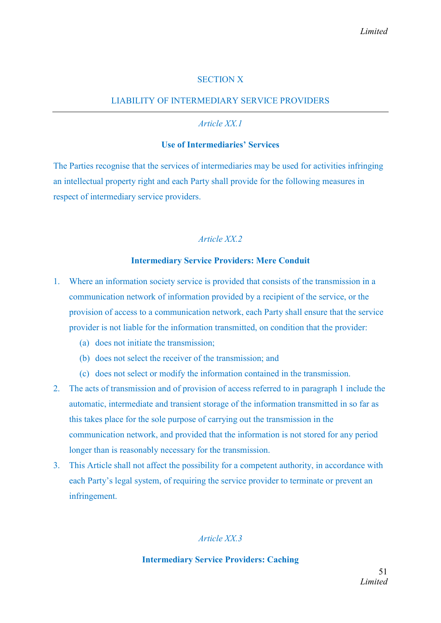## SECTION X

# LIABILITY OF INTERMEDIARY SERVICE PROVIDERS

## *Article XX.1*

## Use of Intermediaries' Services

The Parties recognise that the services of intermediaries may be used for activities infringing an intellectual property right and each Party shall provide for the following measures in respect of intermediary service providers.

## *Article XX.2*

## Intermediary Service Providers: Mere Conduit

- 1. Where an information society service is provided that consists of the transmission in a communication network of information provided by a recipient of the service, or the provision of access to a communication network, each Party shall ensure that the service provider is not liable for the information transmitted, on condition that the provider:
	- (a) does not initiate the transmission;
	- (b) does not select the receiver of the transmission; and
	- (c) does not select or modify the information contained in the transmission.
- 2. The acts of transmission and of provision of access referred to in paragraph 1 include the automatic, intermediate and transient storage of the information transmitted in so far as this takes place for the sole purpose of carrying out the transmission in the communication network, and provided that the information is not stored for any period longer than is reasonably necessary for the transmission.
- 3. This Article shall not affect the possibility for a competent authority, in accordance with each Party's legal system, of requiring the service provider to terminate or prevent an infringement.

## *Article XX.3*

#### Intermediary Service Providers: Caching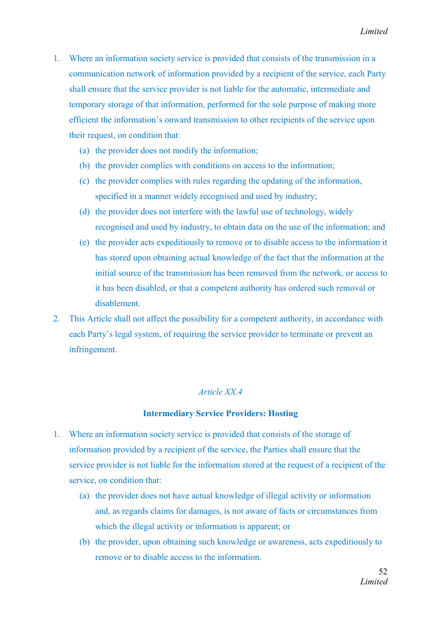- 1. Where an information society service is provided that consists of the transmission in a communication network of information provided by a recipient of the service, each Party shall ensure that the service provider is not liable for the automatic, intermediate and temporary storage of that information, performed for the sole purpose of making more efficient the information's onward transmission to other recipients of the service upon their request, on condition that:
	- (a) the provider does not modify the information;
	- (b) the provider complies with conditions on access to the information;
	- (c) the provider complies with rules regarding the updating of the information, specified in a manner widely recognised and used by industry;
	- (d) the provider does not interfere with the lawful use of technology, widely recognised and used by industry, to obtain data on the use of the information; and
	- (e) the provider acts expeditiously to remove or to disable access to the information it has stored upon obtaining actual knowledge of the fact that the information at the initial source of the transmission has been removed from the network, or access to it has been disabled, or that a competent authority has ordered such removal or disablement.
- 2. This Article shall not affect the possibility for a competent authority, in accordance with each Party's legal system, of requiring the service provider to terminate or prevent an infringement.

## *Article XX.4*

#### Intermediary Service Providers: Hosting

- 1. Where an information society service is provided that consists of the storage of information provided by a recipient of the service, the Parties shall ensure that the service provider is not liable for the information stored at the request of a recipient of the service, on condition that:
	- (a) the provider does not have actual knowledge of illegal activity or information and, as regards claims for damages, is not aware of facts or circumstances from which the illegal activity or information is apparent; or
	- (b) the provider, upon obtaining such knowledge or awareness, acts expeditiously to remove or to disable access to the information.